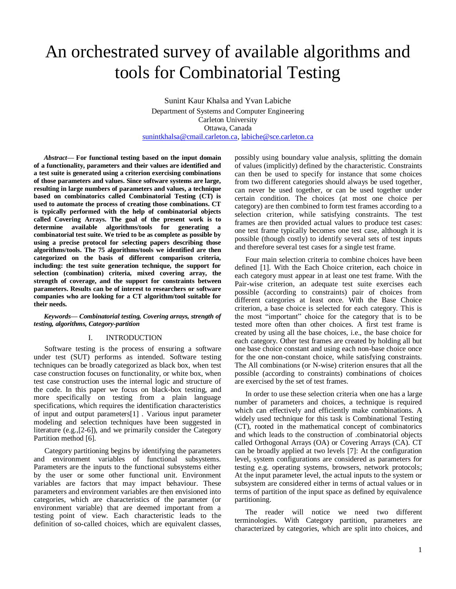# An orchestrated survey of available algorithms and tools for Combinatorial Testing

Sunint Kaur Khalsa and Yvan Labiche Department of Systems and Computer Engineering Carleton University Ottawa, Canada [sunintkhalsa@cmail.carleton.ca,](mailto:sunintkhalsa@cmail.carleton.ca) [labiche@sce.carleton.ca](mailto:labiche@sce.carleton.ca)

*Abstract***— For functional testing based on the input domain of a functionality, parameters and their values are identified and a test suite is generated using a criterion exercising combinations of those parameters and values. Since software systems are large, resulting in large numbers of parameters and values, a technique based on combinatorics called Combinatorial Testing (CT) is used to automate the process of creating those combinations. CT is typically performed with the help of combinatorial objects called Covering Arrays. The goal of the present work is to determine available algorithms/tools for generating a combinatorial test suite. We tried to be as complete as possible by using a precise protocol for selecting papers describing those algorithms/tools. The 75 algorithms/tools we identified are then categorized on the basis of different comparison criteria, including: the test suite generation technique, the support for selection (combination) criteria, mixed covering array, the strength of coverage, and the support for constraints between parameters. Results can be of interest to researchers or software companies who are looking for a CT algorithm/tool suitable for their needs.**

*Keywords— Combinatorial testing, Covering arrays, strength of testing, algorithms, Category-partition*

## I. INTRODUCTION

Software testing is the process of ensuring a software under test (SUT) performs as intended. Software testing techniques can be broadly categorized as black box, when test case construction focuses on functionality, or white box, when test case construction uses the internal logic and structure of the code. In this paper we focus on black-box testing, and more specifically on testing from a plain language specifications, which requires the identification characteristics of input and output parameters[1] . Various input parameter modeling and selection techniques have been suggested in literature (e.g.,[2-6]), and we primarily consider the Category Partition method [6].

Category partitioning begins by identifying the parameters and environment variables of functional subsystems. Parameters are the inputs to the functional subsystems either by the user or some other functional unit. Environment variables are factors that may impact behaviour. These parameters and environment variables are then envisioned into categories, which are characteristics of the parameter (or environment variable) that are deemed important from a testing point of view. Each characteristic leads to the definition of so-called choices, which are equivalent classes, possibly using boundary value analysis, splitting the domain of values (implicitly) defined by the characteristic. Constraints can then be used to specify for instance that some choices from two different categories should always be used together, can never be used together, or can be used together under certain condition. The choices (at most one choice per category) are then combined to form test frames according to a selection criterion, while satisfying constraints. The test frames are then provided actual values to produce test cases: one test frame typically becomes one test case, although it is possible (though costly) to identify several sets of test inputs and therefore several test cases for a single test frame.

Four main selection criteria to combine choices have been defined [1]. With the Each Choice criterion, each choice in each category must appear in at least one test frame. With the Pair-wise criterion, an adequate test suite exercises each possible (according to constraints) pair of choices from different categories at least once. With the Base Choice criterion, a base choice is selected for each category. This is the most "important" choice for the category that is to be tested more often than other choices. A first test frame is created by using all the base choices, i.e., the base choice for each category. Other test frames are created by holding all but one base choice constant and using each non-base choice once for the one non-constant choice, while satisfying constraints. The All combinations (or N-wise) criterion ensures that all the possible (according to constraints) combinations of choices are exercised by the set of test frames.

In order to use these selection criteria when one has a large number of parameters and choices, a technique is required which can effectively and efficiently make combinations. A widely used technique for this task is Combinational Testing (CT), rooted in the mathematical concept of combinatorics and which leads to the construction of .combinatorial objects called Orthogonal Arrays (OA) or Covering Arrays (CA). CT can be broadly applied at two levels [7]: At the configuration level, system configurations are considered as parameters for testing e.g. operating systems, browsers, network protocols; At the input parameter level, the actual inputs to the system or subsystem are considered either in terms of actual values or in terms of partition of the input space as defined by equivalence partitioning.

The reader will notice we need two different terminologies. With Category partition, parameters are characterized by categories, which are split into choices, and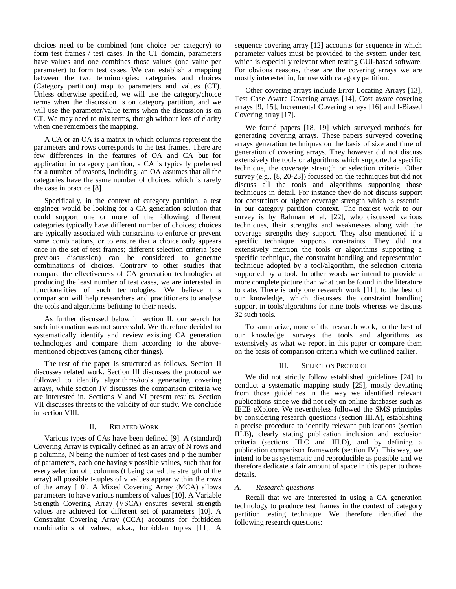choices need to be combined (one choice per category) to form test frames / test cases. In the CT domain, parameters have values and one combines those values (one value per parameter) to form test cases. We can establish a mapping between the two terminologies: categories and choices (Category partition) map to parameters and values (CT). Unless otherwise specified, we will use the category/choice terms when the discussion is on category partition, and we will use the parameter/value terms when the discussion is on CT. We may need to mix terms, though without loss of clarity when one remembers the mapping.

A CA or an OA is a matrix in which columns represent the parameters and rows corresponds to the test frames. There are few differences in the features of OA and CA but for application in category partition, a CA is typically preferred for a number of reasons, including: an OA assumes that all the categories have the same number of choices, which is rarely the case in practice [8].

Specifically, in the context of category partition, a test engineer would be looking for a CA generation solution that could support one or more of the following: different categories typically have different number of choices; choices are typically associated with constraints to enforce or prevent some combinations, or to ensure that a choice only appears once in the set of test frames; different selection criteria (see previous discussion) can be considered to generate combinations of choices. Contrary to other studies that compare the effectiveness of CA generation technologies at producing the least number of test cases, we are interested in functionalities of such technologies. We believe this comparison will help researchers and practitioners to analyse the tools and algorithms befitting to their needs.

As further discussed below in section [II,](#page-1-0) our search for such information was not successful. We therefore decided to systematically identify and review existing CA generation technologies and compare them according to the abovementioned objectives (among other things).

The rest of the paper is structured as follows. Section [II](#page-1-0) discusses related work. Section [III](#page-1-1) discusses the protocol we followed to identify algorithms/tools generating covering arrays, while section [IV](#page-2-0) discusses the comparison criteria we are interested in. Sections [V](#page-4-0) and [VI](#page-7-0) present results. Section [VII](#page-8-0) discusses threats to the validity of our study. We conclude in sectio[n VIII.](#page-8-1)

## II. RELATED WORK

<span id="page-1-0"></span>Various types of CAs have been defined [9]. A (standard) Covering Array is typically defined as an array of N rows and p columns, N being the number of test cases and p the number of parameters, each one having v possible values, such that for every selection of t columns (t being called the strength of the array) all possible t-tuples of v values appear within the rows of the array [10]. A Mixed Covering Array (MCA) allows parameters to have various numbers of values [10]. A Variable Strength Covering Array (VSCA) ensures several strength values are achieved for different set of parameters [10]. A Constraint Covering Array (CCA) accounts for forbidden combinations of values, a.k.a., forbidden tuples [11]. A

sequence covering array [12] accounts for sequence in which parameter values must be provided to the system under test, which is especially relevant when testing GUI-based software. For obvious reasons, these are the covering arrays we are mostly interested in, for use with category partition.

Other covering arrays include Error Locating Arrays [13], Test Case Aware Covering arrays [14], Cost aware covering arrays [9, 15], Incremental Covering arrays [16] and l-Biased Covering array [17].

We found papers [18, 19] which surveyed methods for generating covering arrays. These papers surveyed covering arrays generation techniques on the basis of size and time of generation of covering arrays. They however did not discuss extensively the tools or algorithms which supported a specific technique, the coverage strength or selection criteria. Other survey (e.g., [8, 20-23]) focussed on the techniques but did not discuss all the tools and algorithms supporting those techniques in detail. For instance they do not discuss support for constraints or higher coverage strength which is essential in our category partition context. The nearest work to our survey is by Rahman et al. [22], who discussed various techniques, their strengths and weaknesses along with the coverage strengths they support. They also mentioned if a specific technique supports constraints. They did not extensively mention the tools or algorithms supporting a specific technique, the constraint handling and representation technique adopted by a tool/algorithm, the selection criteria supported by a tool. In other words we intend to provide a more complete picture than what can be found in the literature to date. There is only one research work [11], to the best of our knowledge, which discusses the constraint handling support in tools/algorithms for nine tools whereas we discuss 32 such tools.

To summarize, none of the research work, to the best of our knowledge, surveys the tools and algorithms as extensively as what we report in this paper or compare them on the basis of comparison criteria which we outlined earlier.

#### III. SELECTION PROTOCOL

<span id="page-1-1"></span>We did not strictly follow established guidelines [24] to conduct a systematic mapping study [25], mostly deviating from those guidelines in the way we identified relevant publications since we did not rely on online databases such as IEEE eXplore. We nevertheless followed the SMS principles by considering research questions (section [III.A\)](#page-1-2), establishing a precise procedure to identify relevant publications (section [III.B\)](#page-2-1), clearly stating publication inclusion and exclusion criteria (sections [III.C](#page-2-2) and [III.D\)](#page-2-3), and by defining a publication comparison framework (section [IV\)](#page-2-0). This way, we intend to be as systematic and reproducible as possible and we therefore dedicate a fair amount of space in this paper to those details.

#### <span id="page-1-2"></span>*A. Research questions*

Recall that we are interested in using a CA generation technology to produce test frames in the context of category partition testing technique. We therefore identified the following research questions: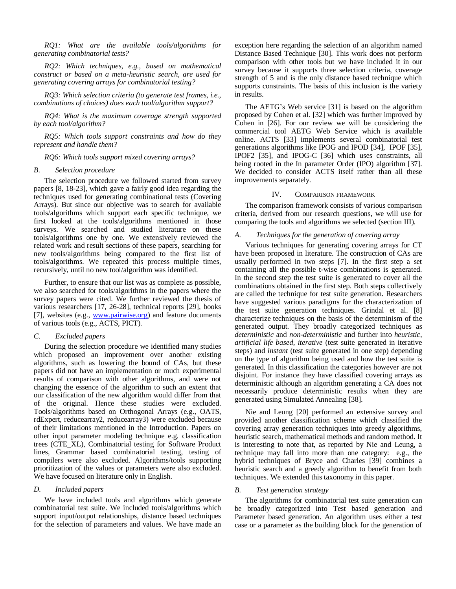*RQ1: What are the available tools/algorithms for generating combinatorial tests?*

*RQ2: Which techniques, e.g., based on mathematical construct or based on a meta-heuristic search, are used for generating covering arrays for combinatorial testing?*

*RQ3: Which selection criteria (to generate test frames, i.e., combinations of choices) does each tool/algorithm support?*

*RQ4: What is the maximum coverage strength supported by each tool/algorithm?*

*RQ5: Which tools support constraints and how do they represent and handle them?*

*RQ6: Which tools support mixed covering arrays?*

#### <span id="page-2-1"></span>*B. Selection procedure*

The selection procedure we followed started from survey papers [8, 18-23], which gave a fairly good idea regarding the techniques used for generating combinational tests (Covering Arrays). But since our objective was to search for available tools/algorithms which support each specific technique, we first looked at the tools/algorithms mentioned in those surveys. We searched and studied literature on these tools/algorithms one by one. We extensively reviewed the related work and result sections of these papers, searching for new tools/algorithms being compared to the first list of tools/algorithms. We repeated this process multiple times, recursively, until no new tool/algorithm was identified.

Further, to ensure that our list was as complete as possible, we also searched for tools/algorithms in the papers where the survey papers were cited. We further reviewed the thesis of various researchers [17, 26-28], technical reports [29], books [7], websites (e.g., [www.pairwise.org\)](http://www.pairwise.org/) and feature documents of various tools (e.g., ACTS, PICT).

#### <span id="page-2-2"></span>*C. Excluded papers*

During the selection procedure we identified many studies which proposed an improvement over another existing algorithms, such as lowering the bound of CAs, but these papers did not have an implementation or much experimental results of comparison with other algorithms, and were not changing the essence of the algorithm to such an extent that our classification of the new algorithm would differ from that of the original. Hence these studies were excluded. Tools/algorithms based on Orthogonal Arrays (e.g., OATS, rdExpert, reducearray2, reducearray3) were excluded because of their limitations mentioned in the Introduction. Papers on other input parameter modeling technique e.g. classification trees (CTE\_XL), Combinatorial testing for Software Product lines, Grammar based combinatorial testing, testing of compilers were also excluded. Algorithms/tools supporting prioritization of the values or parameters were also excluded. We have focused on literature only in English.

### <span id="page-2-3"></span>*D. Included papers*

We have included tools and algorithms which generate combinatorial test suite. We included tools/algorithms which support input/output relationships, distance based techniques for the selection of parameters and values. We have made an

exception here regarding the selection of an algorithm named Distance Based Technique [30]. This work does not perform comparison with other tools but we have included it in our survey because it supports three selection criteria, coverage strength of 5 and is the only distance based technique which supports constraints. The basis of this inclusion is the variety in results.

The AETG's Web service [31] is based on the algorithm proposed by Cohen et al. [32] which was further improved by Cohen in [26]. For our review we will be considering the commercial tool AETG Web Service which is available online. ACTS [33] implements several combinatorial test generations algorithms like IPOG and IPOD [34], IPOF [35], IPOF2 [35], and IPOG-C [36] which uses constraints, all being rooted in the In parameter Order (IPO) algorithm [37]. We decided to consider ACTS itself rather than all these improvements separately.

#### IV. COMPARISON FRAMEWORK

<span id="page-2-0"></span>The comparison framework consists of various comparison criteria, derived from our research questions, we will use for comparing the tools and algorithms we selected (section [III\)](#page-1-1).

#### *A. Techniques for the generation of covering array*

Various techniques for generating covering arrays for CT have been proposed in literature. The construction of CAs are usually performed in two steps [7]. In the first step a set containing all the possible t-wise combinations is generated. In the second step the test suite is generated to cover all the combinations obtained in the first step. Both steps collectively are called the technique for test suite generation. Researchers have suggested various paradigms for the characterization of the test suite generation techniques. Grindal et al. [8] characterize techniques on the basis of the determinism of the generated output. They broadly categorized techniques as *deterministic* and *non-deterministic* and further into *heuristic*, *artificial life based*, *iterative* (test suite generated in iterative steps) and *instant* (test suite generated in one step) depending on the type of algorithm being used and how the test suite is generated. In this classification the categories however are not disjoint. For instance they have classified covering arrays as deterministic although an algorithm generating a CA does not necessarily produce deterministic results when they are generated using Simulated Annealing [38].

Nie and Leung [20] performed an extensive survey and provided another classification scheme which classified the covering array generation techniques into greedy algorithms, heuristic search, mathematical methods and random method. It is interesting to note that, as reported by Nie and Leung, a technique may fall into more than one category: e.g., the hybrid techniques of Bryce and Charles [39] combines a heuristic search and a greedy algorithm to benefit from both techniques. We extended this taxonomy in this paper.

#### *B. Test generation strategy*

The algorithms for combinatorial test suite generation can be broadly categorized into Test based generation and Parameter based generation. An algorithm uses either a test case or a parameter as the building block for the generation of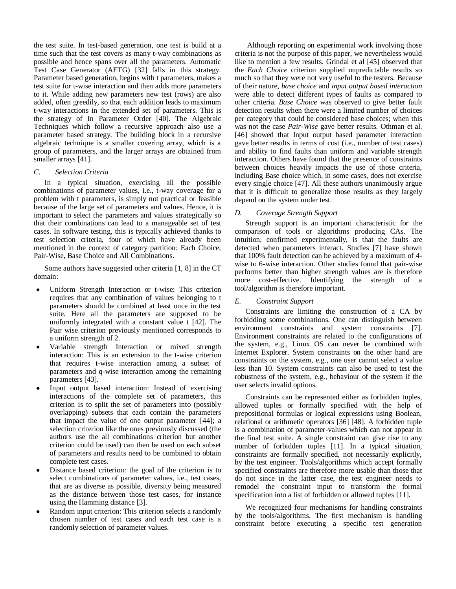the test suite. In test-based generation, one test is build at a time such that the test covers as many t-way combinations as possible and hence spans over all the parameters. Automatic Test Case Generator (AETG) [32] falls in this strategy. Parameter based generation, begins with t parameters, makes a test suite for t-wise interaction and then adds more parameters to it. While adding new parameters new test (rows) are also added, often greedily, so that each addition leads to maximum t-way interactions in the extended set of parameters. This is the strategy of In Parameter Order [40]. The Algebraic Techniques which follow a recursive approach also use a parameter based strategy. The building block in a recursive algebraic technique is a smaller covering array, which is a group of parameters, and the larger arrays are obtained from smaller arrays [41].

## *C. Selection Criteria*

In a typical situation, exercising all the possible combinations of parameter values, i.e., t-way coverage for a problem with t parameters, is simply not practical or feasible because of the large set of parameters and values. Hence, it is important to select the parameters and values strategically so that their combinations can lead to a manageable set of test cases. In software testing, this is typically achieved thanks to test selection criteria, four of which have already been mentioned in the context of category partition: Each Choice, Pair-Wise, Base Choice and All Combinations.

Some authors have suggested other criteria [1, 8] in the CT domain:

- Uniform Strength Interaction or t-wise: This criterion requires that any combination of values belonging to t parameters should be combined at least once in the test suite. Here all the parameters are supposed to be uniformly integrated with a constant value t [42]. The Pair wise criterion previously mentioned corresponds to a uniform strength of 2.
- Variable strength Interaction or mixed strength interaction: This is an extension to the t-wise criterion that requires t-wise interaction among a subset of parameters and q-wise interaction among the remaining parameters [43].
- Input output based interaction: Instead of exercising interactions of the complete set of parameters, this criterion is to split the set of parameters into (possibly overlapping) subsets that each contain the parameters that impact the value of one output parameter [44]; a selection criterion like the ones previously discussed (the authors use the all combinations criterion but another criterion could be used) can then be used on each subset of parameters and results need to be combined to obtain complete test cases.
- Distance based criterion: the goal of the criterion is to select combinations of parameter values, i.e., test cases, that are as diverse as possible, diversity being measured as the distance between those test cases, for instance using the Hamming distance [3].
- Random input criterion: This criterion selects a randomly chosen number of test cases and each test case is a randomly selection of parameter values.

Although reporting on experimental work involving those criteria is not the purpose of this paper, we nevertheless would like to mention a few results. Grindal et al [45] observed that the *Each Choice* criterion supplied unpredictable results so much so that they were not very useful to the testers. Because of their nature, *base choice* and *input output based interaction* were able to detect different types of faults as compared to other criteria. *Base Choice* was observed to give better fault detection results when there were a limited number of choices per category that could be considered base choices; when this was not the case *Pair-Wise* gave better results. Othman et al. [46] showed that Input output based parameter interaction gave better results in terms of cost (i.e., number of test cases) and ability to find faults than uniform and variable strength interaction. Others have found that the presence of constraints between choices heavily impacts the use of those criteria, including Base choice which, in some cases, does not exercise every single choice [47]. All these authors unanimously argue that it is difficult to generalize those results as they largely depend on the system under test.

## *D. Coverage Strength Support*

Strength support is an important characteristic for the comparison of tools or algorithms producing CAs. The intuition, confirmed experimentally, is that the faults are detected when parameters interact. Studies [7] have shown that 100% fault detection can be achieved by a maximum of 4 wise to 6-wise interaction. Other studies found that pair-wise performs better than higher strength values are is therefore more cost-effective. Identifying the strength of a tool/algorithm is therefore important.

#### *E. Constraint Support*

Constraints are limiting the construction of a CA by forbidding some combinations. One can distinguish between environment constraints and system constraints [7]. Environment constraints are related to the configurations of the system, e.g., Linux OS can never be combined with Internet Explorer. System constraints on the other hand are constraints on the system, e.g., one user cannot select a value less than 10. System constraints can also be used to test the robustness of the system, e.g., behaviour of the system if the user selects invalid options.

Constraints can be represented either as forbidden tuples, allowed tuples or formally specified with the help of prepositional formulas or logical expressions using Boolean, relational or arithmetic operators [36] [48]. A forbidden tuple is a combination of parameter-values which can not appear in the final test suite. A single constraint can give rise to any number of forbidden tuples [11]. In a typical situation, constraints are formally specified, not necessarily explicitly, by the test engineer. Tools/algorithms which accept formally specified constraints are therefore more usable than those that do not since in the latter case, the test engineer needs to remodel the constraint input to transform the formal specification into a list of forbidden or allowed tuples [11].

We recognized four mechanisms for handling constraints by the tools/algorithms. The first mechanism is handling constraint before executing a specific test generation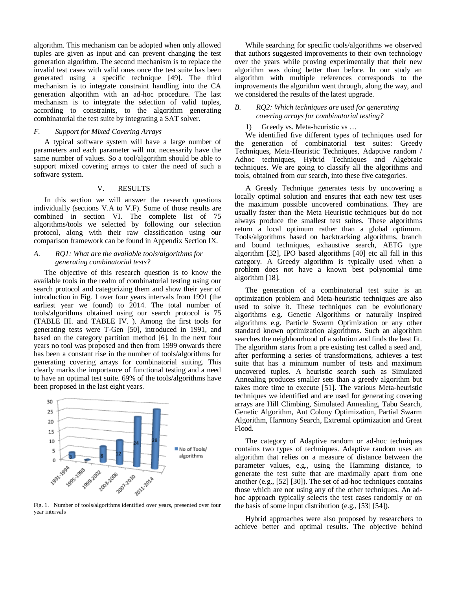algorithm. This mechanism can be adopted when only allowed tuples are given as input and can prevent changing the test generation algorithm. The second mechanism is to replace the invalid test cases with valid ones once the test suite has been generated using a specific technique [49]. The third mechanism is to integrate constraint handling into the CA generation algorithm with an ad-hoc procedure. The last mechanism is to integrate the selection of valid tuples, according to constraints, to the algorithm generating combinatorial the test suite by integrating a SAT solver.

## *F. Support for Mixed Covering Arrays*

A typical software system will have a large number of parameters and each parameter will not necessarily have the same number of values. So a tool/algorithm should be able to support mixed covering arrays to cater the need of such a software system.

## V. RESULTS

<span id="page-4-0"></span>In this section we will answer the research questions individually (sections [V.A](#page-4-1) to [V.F\)](#page-7-1). Some of those results are combined in section [VI.](#page-7-0) The complete list of 75 algorithms/tools we selected by following our selection protocol, along with their raw classification using our comparison framework can be found in Appendix Sectio[n IX.](#page-12-0) 

## <span id="page-4-1"></span>*A. RQ1: What are the available tools/algorithms for generating combinatorial tests?*

The objective of this research question is to know the available tools in the realm of combinatorial testing using our search protocol and categorizing them and show their year of introduction in [Fig. 1](#page-4-2) over four years intervals from 1991 (the earliest year we found) to 2014. The total number of tools/algorithms obtained using our search protocol is 75 [\(TABLE III. a](#page-12-1)nd [TABLE IV. \)](#page-13-0). Among the first tools for generating tests were T-Gen [50], introduced in 1991, and based on the category partition method [6]. In the next four years no tool was proposed and then from 1999 onwards there has been a constant rise in the number of tools/algorithms for generating covering arrays for combinatorial suiting. This clearly marks the importance of functional testing and a need to have an optimal test suite. 69% of the tools/algorithms have been proposed in the last eight years.



<span id="page-4-2"></span>Fig. 1. Number of tools/algorithms identified over years, presented over four year intervals

While searching for specific tools/algorithms we observed that authors suggested improvements to their own technology over the years while proving experimentally that their new algorithm was doing better than before. In our study an algorithm with multiple references corresponds to the improvements the algorithm went through, along the way, and we considered the results of the latest upgrade.

#### *B. RQ2: Which techniques are used for generating covering arrays for combinatorial testing?*

1) Greedy vs. Meta-heuristic vs …

We identified five different types of techniques used for the generation of combinatorial test suites: Greedy Techniques, Meta-Heuristic Techniques, Adaptive random / Adhoc techniques, Hybrid Techniques and Algebraic techniques. We are going to classify all the algorithms and tools, obtained from our search, into these five categories.

A Greedy Technique generates tests by uncovering a locally optimal solution and ensures that each new test uses the maximum possible uncovered combinations. They are usually faster than the Meta Heuristic techniques but do not always produce the smallest test suites. These algorithms return a local optimum rather than a global optimum. Tools/algorithms based on backtracking algorithms, branch and bound techniques, exhaustive search, AETG type algorithm [32], IPO based algorithms [40] etc all fall in this category. A Greedy algorithm is typically used when a problem does not have a known best polynomial time algorithm [18].

The generation of a combinatorial test suite is an optimization problem and Meta-heuristic techniques are also used to solve it. These techniques can be evolutionary algorithms e.g. Genetic Algorithms or naturally inspired algorithms e.g. Particle Swarm Optimization or any other standard known optimization algorithms. Such an algorithm searches the neighbourhood of a solution and finds the best fit. The algorithm starts from a pre existing test called a seed and, after performing a series of transformations, achieves a test suite that has a minimum number of tests and maximum uncovered tuples. A heuristic search such as Simulated Annealing produces smaller sets than a greedy algorithm but takes more time to execute [51]. The various Meta-heuristic techniques we identified and are used for generating covering arrays are Hill Climbing, Simulated Annealing, Tabu Search, Genetic Algorithm, Ant Colony Optimization, Partial Swarm Algorithm, Harmony Search, Extremal optimization and Great Flood.

The category of Adaptive random or ad-hoc techniques contains two types of techniques. Adaptive random uses an algorithm that relies on a measure of distance between the parameter values, e.g., using the Hamming distance, to generate the test suite that are maximally apart from one another (e.g., [52] [30]). The set of ad-hoc techniques contains those which are not using any of the other techniques. An adhoc approach typically selects the test cases randomly or on the basis of some input distribution (e.g., [53] [54]).

Hybrid approaches were also proposed by researchers to achieve better and optimal results. The objective behind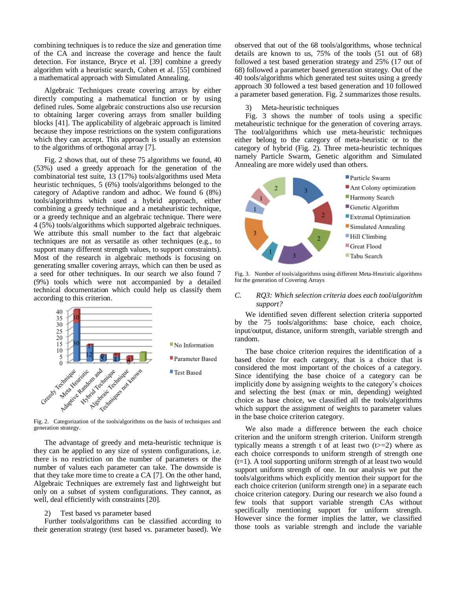combining techniques is to reduce the size and generation time of the CA and increase the coverage and hence the fault detection. For instance, Bryce et al. [39] combine a greedy algorithm with a heuristic search, Cohen et al. [55] combined a mathematical approach with Simulated Annealing.

Algebraic Techniques create covering arrays by either directly computing a mathematical function or by using defined rules. Some algebraic constructions also use recursion to obtaining larger covering arrays from smaller building blocks [41]. The applicability of algebraic approach is limited because they impose restrictions on the system configurations which they can accept. This approach is usually an extension to the algorithms of orthogonal array [7].

[Fig. 2](#page-5-0) shows that, out of these 75 algorithms we found, 40 (53%) used a greedy approach for the generation of the combinatorial test suite, 13 (17%) tools/algorithms used Meta heuristic techniques, 5 (6%) tools/algorithms belonged to the category of Adaptive random and adhoc. We found 6 (8%) tools/algorithms which used a hybrid approach, either combining a greedy technique and a metaheuristic technique, or a greedy technique and an algebraic technique. There were 4 (5%) tools/algorithms which supported algebraic techniques. We attribute this small number to the fact that algebraic techniques are not as versatile as other techniques (e.g., to support many different strength values, to support constraints). Most of the research in algebraic methods is focusing on generating smaller covering arrays, which can then be used as a seed for other techniques. In our search we also found 7 (9%) tools which were not accompanied by a detailed technical documentation which could help us classify them according to this criterion.



<span id="page-5-0"></span>generation strategy.

The advantage of greedy and meta-heuristic technique is they can be applied to any size of system configurations, i.e. there is no restriction on the number of parameters or the number of values each parameter can take. The downside is that they take more time to create a CA [7]. On the other hand, Algebraic Techniques are extremely fast and lightweight but only on a subset of system configurations. They cannot, as well, deal efficiently with constraints [20].

#### 2) Test based vs parameter based

Further tools/algorithms can be classified according to their generation strategy (test based vs. parameter based). We observed that out of the 68 tools/algorithms, whose technical details are known to us, 75% of the tools (51 out of 68) followed a test based generation strategy and 25% (17 out of 68) followed a parameter based generation strategy. Out of the 40 tools/algorithms which generated test suites using a greedy approach 30 followed a test based generation and 10 followed a parameter based generation. [Fig. 2](#page-5-0) summarizes those results.

#### Meta-heuristic techniques

[Fig. 3](#page-5-1) shows the number of tools using a specific metaheuristic technique for the generation of covering arrays. The tool/algorithms which use meta-heuristic techniques either belong to the category of meta-heuristic or to the category of hybrid [\(Fig. 2\)](#page-5-0). Three meta-heuristic techniques namely Particle Swarm, Genetic algorithm and Simulated Annealing are more widely used than others.



<span id="page-5-1"></span>Fig. 3. Number of tools/algorithms using different Meta-Heuristic algorithms for the generation of Covering Arrays

## *C. RQ3: Which selection criteria does each tool/algorithm support?*

We identified seven different selection criteria supported by the 75 tools/algorithms: base choice, each choice, input/output, distance, uniform strength, variable strength and random.

The base choice criterion requires the identification of a based choice for each category, that is a choice that is considered the most important of the choices of a category. Since identifying the base choice of a category can be implicitly done by assigning weights to the category's choices and selecting the best (max or min, depending) weighted choice as base choice, we classified all the tools/algorithms which support the assignment of weights to parameter values in the base choice criterion category.

We also made a difference between the each choice criterion and the uniform strength criterion. Uniform strength typically means a strength t of at least two  $(t>=2)$  where as each choice corresponds to uniform strength of strength one (t=1). A tool supporting uniform strength of at least two would support uniform strength of one. In our analysis we put the tools/algorithms which explicitly mention their support for the each choice criterion (uniform strength one) in a separate each choice criterion category. During our research we also found a few tools that support variable strength CAs without specifically mentioning support for uniform strength. However since the former implies the latter, we classified those tools as variable strength and include the variable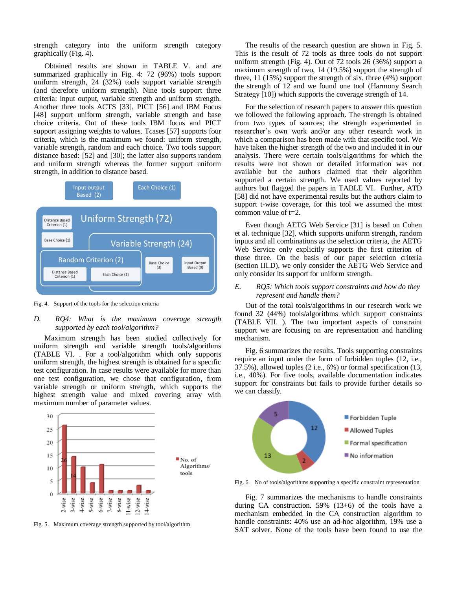strength category into the uniform strength category graphically [\(Fig. 4\)](#page-6-0).

Obtained results are shown in [TABLE V. a](#page-14-0)nd are summarized graphically in [Fig. 4:](#page-6-0) 72 (96%) tools support uniform strength, 24 (32%) tools support variable strength (and therefore uniform strength). Nine tools support three criteria: input output, variable strength and uniform strength. Another three tools ACTS [33], PICT [56] and IBM Focus [48] support uniform strength, variable strength and base choice criteria. Out of these tools IBM focus and PICT support assigning weights to values. Tcases [57] supports four criteria, which is the maximum we found: uniform strength, variable strength, random and each choice. Two tools support distance based: [52] and [30]; the latter also supports random and uniform strength whereas the former support uniform strength, in addition to distance based.



<span id="page-6-0"></span>Fig. 4. Support of the tools for the selection criteria

## *D. RQ4: What is the maximum coverage strength supported by each tool/algorithm?*

Maximum strength has been studied collectively for uniform strength and variable strength tools/algorithms [\(TABLE VI. .](#page-15-0) For a tool/algorithm which only supports uniform strength, the highest strength is obtained for a specific test configuration. In case results were available for more than one test configuration, we chose that configuration, from variable strength or uniform strength, which supports the highest strength value and mixed covering array with maximum number of parameter values.



<span id="page-6-1"></span>Fig. 5. Maximum coverage strength supported by tool/algorithm

The results of the research question are shown in [Fig. 5.](#page-6-1) This is the result of 72 tools as three tools do not support uniform strength [\(Fig. 4\)](#page-6-0). Out of 72 tools 26 (36%) support a maximum strength of two, 14 (19.5%) support the strength of three, 11 (15%) support the strength of six, three (4%) support the strength of 12 and we found one tool (Harmony Search Strategy [10]) which supports the coverage strength of 14.

For the selection of research papers to answer this question we followed the following approach. The strength is obtained from two types of sources; the strength experimented in researcher's own work and/or any other research work in which a comparison has been made with that specific tool. We have taken the higher strength of the two and included it in our analysis. There were certain tools/algorithms for which the results were not shown or detailed information was not available but the authors claimed that their algorithm supported a certain strength. We used values reported by authors but flagged the papers in [TABLE VI.](#page-15-0) Further, ATD [58] did not have experimental results but the authors claim to support t-wise coverage, for this tool we assumed the most common value of  $t=2$ .

Even though AETG Web Service [31] is based on Cohen et al. technique [32], which supports uniform strength, random inputs and all combinations as the selection criteria, the AETG Web Service only explicitly supports the first criterion of those three. On the basis of our paper selection criteria (section [III.D\)](#page-2-3), we only consider the AETG Web Service and only consider its support for uniform strength.

## *E. RQ5: Which tools support constraints and how do they represent and handle them?*

Out of the total tools/algorithms in our research work we found 32 (44%) tools/algorithms which support constraints [\(TABLE VII. \)](#page-17-0). The two important aspects of constraint support we are focusing on are representation and handling mechanism.

[Fig. 6](#page-6-2) summarizes the results. Tools supporting constraints require an input under the form of forbidden tuples (12, i.e., 37.5%), allowed tuples (2 i.e., 6%) or formal specification (13, i.e., 40%). For five tools, available documentation indicates support for constraints but fails to provide further details so we can classify.



<span id="page-6-2"></span>Fig. 6. No of tools/algorithms supporting a specific constraint representation

[Fig. 7](#page-7-2) summarizes the mechanisms to handle constraints during CA construction. 59% (13+6) of the tools have a mechanism embedded in the CA construction algorithm to handle constraints: 40% use an ad-hoc algorithm, 19% use a SAT solver. None of the tools have been found to use the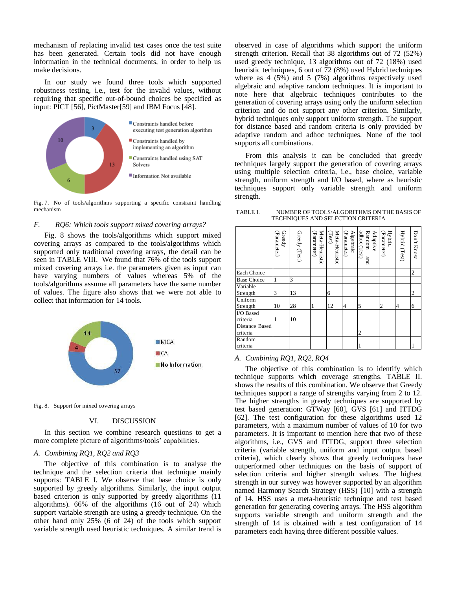mechanism of replacing invalid test cases once the test suite has been generated. Certain tools did not have enough information in the technical documents, in order to help us make decisions.

In our study we found three tools which supported robustness testing, i.e., test for the invalid values, without requiring that specific out-of-bound choices be specified as input: PICT [56], PictMaster[59] and IBM Focus [48].



<span id="page-7-2"></span>Fig. 7. No of tools/algorithms supporting a specific constraint handling mechanism

## <span id="page-7-1"></span>*F. RQ6: Which tools support mixed covering arrays?*

[Fig. 8](#page-7-3) shows the tools/algorithms which support mixed covering arrays as compared to the tools/algorithms which supported only traditional covering arrays, the detail can be seen in [TABLE VIII.](#page-19-0) We found that 76% of the tools support mixed covering arrays i.e. the parameters given as input can have varying numbers of values whereas 5% of the tools/algorithms assume all parameters have the same number of values. The figure also shows that we were not able to collect that information for 14 tools.



<span id="page-7-3"></span>Fig. 8. Support for mixed covering arrays

#### VI. DISCUSSION

<span id="page-7-0"></span>In this section we combine research questions to get a more complete picture of algorithms/tools' capabilities.

### *A. Combining RQ1, RQ2 and RQ3*

The objective of this combination is to analyse the technique and the selection criteria that technique mainly supports: [TABLE I. W](#page-7-4)e observe that base choice is only supported by greedy algorithms. Similarly, the input output based criterion is only supported by greedy algorithms (11 algorithms). 66% of the algorithms (16 out of 24) which support variable strength are using a greedy technique. On the other hand only 25% (6 of 24) of the tools which support variable strength used heuristic techniques. A similar trend is

observed in case of algorithms which support the uniform strength criterion. Recall that 38 algorithms out of 72 (52%) used greedy technique, 13 algorithms out of 72 (18%) used heuristic techniques, 6 out of 72 (8%) used Hybrid techniques where as 4 (5%) and 5 (7%) algorithms respectively used algebraic and adaptive random techniques. It is important to note here that algebraic techniques contributes to the generation of covering arrays using only the uniform selection criterion and do not support any other criterion. Similarly, hybrid techniques only support uniform strength. The support for distance based and random criteria is only provided by adaptive random and adhoc techniques. None of the tool supports all combinations.

From this analysis it can be concluded that greedy techniques largely support the generation of covering arrays using multiple selection criteria, i.e., base choice, variable strength, uniform strength and I/O based, where as heuristic techniques support only variable strength and uniform strength.

<span id="page-7-4"></span>

| TABLE I. | NUMBER OF TOOLS/ALGORITHMS ON THE BASIS OF |
|----------|--------------------------------------------|
|          | TECHNIQUES AND SELECTION CRITERIA          |

|                    | Greedy<br>Parameter) | Greedy (Test) | Meta-Heuristic<br>(Parameter) | Meta-Heuristic<br>(Test) | <b>Algebraic</b><br>Parameter) | adhoc (Test)<br>Random<br>Adaptive<br>pue | Hybrid<br>(Parameter) | Hybrid (Test) | Don't Know |
|--------------------|----------------------|---------------|-------------------------------|--------------------------|--------------------------------|-------------------------------------------|-----------------------|---------------|------------|
| Each Choice        |                      |               |                               |                          |                                |                                           |                       |               | 2          |
| <b>Base Choice</b> |                      | 3             |                               |                          |                                |                                           |                       |               |            |
| Variable           |                      |               |                               |                          |                                |                                           |                       |               |            |
| Strength           | 3                    | 13            |                               | 6                        |                                |                                           |                       |               | 2          |
| Uniform            |                      |               |                               |                          |                                |                                           |                       |               |            |
| Strength           | 10                   | 28            | 1                             | 12                       | 4                              | 5                                         | 2                     | 4             | 6          |
| I/O Based          |                      |               |                               |                          |                                |                                           |                       |               |            |
| criteria           |                      | 10            |                               |                          |                                |                                           |                       |               |            |
| Distance Based     |                      |               |                               |                          |                                |                                           |                       |               |            |
| criteria           |                      |               |                               |                          |                                | 2                                         |                       |               |            |
| Random             |                      |               |                               |                          |                                |                                           |                       |               |            |
| criteria           |                      |               |                               |                          |                                |                                           |                       |               |            |

## *A. Combining RQ1, RQ2, RQ4*

The objective of this combination is to identify which technique supports which coverage strengths. [TABLE II.](#page-8-2)  shows the results of this combination. We observe that Greedy techniques support a range of strengths varying from 2 to 12. The higher strengths in greedy techniques are supported by test based generation: GTWay [60], GVS [61] and ITTDG [62]. The test configuration for these algorithms used 12 parameters, with a maximum number of values of 10 for two parameters. It is important to mention here that two of these algorithms, i.e., GVS and ITTDG, support three selection criteria (variable strength, uniform and input output based criteria), which clearly shows that greedy techniques have outperformed other techniques on the basis of support of selection criteria and higher strength values. The highest strength in our survey was however supported by an algorithm named Harmony Search Strategy (HSS) [10] with a strength of 14. HSS uses a meta-heuristic technique and test based generation for generating covering arrays. The HSS algorithm supports variable strength and uniform strength and the strength of 14 is obtained with a test configuration of 14 parameters each having three different possible values.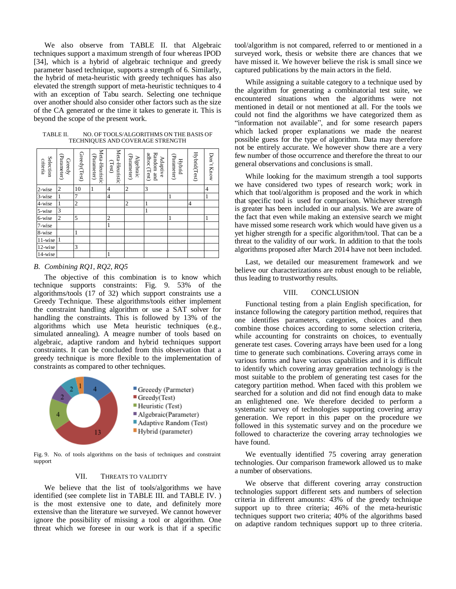We also observe from [TABLE II. t](#page-8-2)hat Algebraic techniques support a maximum strength of four whereas IPOD [34], which is a hybrid of algebraic technique and greedy parameter based technique, supports a strength of 6. Similarly, the hybrid of meta-heuristic with greedy techniques has also elevated the strength support of meta-heuristic techniques to 4 with an exception of Tabu search. Selecting one technique over another should also consider other factors such as the size of the CA generated or the time it takes to generate it. This is beyond the scope of the present work.

<span id="page-8-2"></span>

| TABLE II. | NO. OF TOOLS/ALGORITHMS ON THE BASIS OF |
|-----------|-----------------------------------------|
|           | TECHNIQUES AND COVERAGE STRENGTH        |

| Selection<br>criteria | (Parameter)<br>Greedy   | Greedy(Test)   | Meta-Heuristic<br>(Parameter) | Meta-Heuristic<br>(Test) | (Parameter)<br>Algebraic | Random and<br>adhoc (Test)<br>Adaptive | (Parameter)<br><b>Hybrid</b> | Hybrid(Test) | Don't Know |
|-----------------------|-------------------------|----------------|-------------------------------|--------------------------|--------------------------|----------------------------------------|------------------------------|--------------|------------|
| 2-wise                | $\overline{\mathbf{c}}$ | 10             |                               | 4                        | 2                        | 3                                      |                              |              | 4          |
| $3-wise$              | $\mathbf{1}$            | 7              |                               | $\overline{4}$           |                          |                                        | 1                            |              | 1          |
| $4-wise$              | $\mathbf{1}$            | $\overline{c}$ |                               |                          | 2                        | 1                                      |                              | 4            |            |
| 5-wise                | 3                       |                |                               |                          |                          |                                        |                              |              |            |
| 6-wise                | $\overline{c}$          | 5              |                               | 2                        |                          |                                        | 1                            |              | 1          |
| 7-wise                |                         |                |                               |                          |                          |                                        |                              |              |            |
| 8-wise                |                         |                |                               |                          |                          |                                        |                              |              |            |
| 11-wise               | $\mathbf{1}$            |                |                               |                          |                          |                                        |                              |              |            |
| 12-wise               |                         | 3              |                               |                          |                          |                                        |                              |              |            |
| 14-wise               |                         |                |                               |                          |                          |                                        |                              |              |            |

#### *B. Combining RQ1, RQ2, RQ5*

The objective of this combination is to know which technique supports constraints: [Fig. 9.](#page-8-3) 53% of the algorithms/tools (17 of 32) which support constraints use a Greedy Technique. These algorithms/tools either implement the constraint handling algorithm or use a SAT solver for handling the constraints. This is followed by 13% of the algorithms which use Meta heuristic techniques (e.g., simulated annealing). A meagre number of tools based on algebraic, adaptive random and hybrid techniques support constraints. It can be concluded from this observation that a greedy technique is more flexible to the implementation of constraints as compared to other techniques.



<span id="page-8-3"></span>Fig. 9. No. of tools algorithms on the basis of techniques and constraint support

## VII. THREATS TO VALIDITY

<span id="page-8-0"></span>We believe that the list of tools/algorithms we have identified (see complete list in [TABLE III. a](#page-12-1)nd [TABLE IV. \)](#page-13-0) is the most extensive one to date, and definitely more extensive than the literature we surveyed. We cannot however ignore the possibility of missing a tool or algorithm. One threat which we foresee in our work is that if a specific

tool/algorithm is not compared, referred to or mentioned in a surveyed work, thesis or website there are chances that we have missed it. We however believe the risk is small since we captured publications by the main actors in the field.

While assigning a suitable category to a technique used by the algorithm for generating a combinatorial test suite, we encountered situations when the algorithms were not mentioned in detail or not mentioned at all. For the tools we could not find the algorithms we have categorized them as "information not available", and for some research papers which lacked proper explanations we made the nearest possible guess for the type of algorithm. Data may therefore not be entirely accurate. We however show there are a very few number of those occurrence and therefore the threat to our general observations and conclusions is small.

While looking for the maximum strength a tool supports we have considered two types of research work; work in which that tool/algorithm is proposed and the work in which that specific tool is used for comparison. Whichever strength is greater has been included in our analysis. We are aware of the fact that even while making an extensive search we might have missed some research work which would have given us a yet higher strength for a specific algorithm/tool. That can be a threat to the validity of our work. In addition to that the tools algorithms proposed after March 2014 have not been included.

Last, we detailed our measurement framework and we believe our characterizations are robust enough to be reliable, thus leading to trustworthy results.

#### VIII. CONCLUSION

<span id="page-8-1"></span>Functional testing from a plain English specification, for instance following the category partition method, requires that one identifies parameters, categories, choices and then combine those choices according to some selection criteria, while accounting for constraints on choices, to eventually generate test cases. Covering arrays have been used for a long time to generate such combinations. Covering arrays come in various forms and have various capabilities and it is difficult to identify which covering array generation technology is the most suitable to the problem of generating test cases for the category partition method. When faced with this problem we searched for a solution and did not find enough data to make an enlightened one. We therefore decided to perform a systematic survey of technologies supporting covering array generation. We report in this paper on the procedure we followed in this systematic survey and on the procedure we followed to characterize the covering array technologies we have found.

We eventually identified 75 covering array generation technologies. Our comparison framework allowed us to make a number of observations.

We observe that different covering array construction technologies support different sets and numbers of selection criteria in different amounts: 43% of the greedy technique support up to three criteria; 46% of the meta-heuristic techniques support two criteria; 40% of the algorithms based on adaptive random techniques support up to three criteria.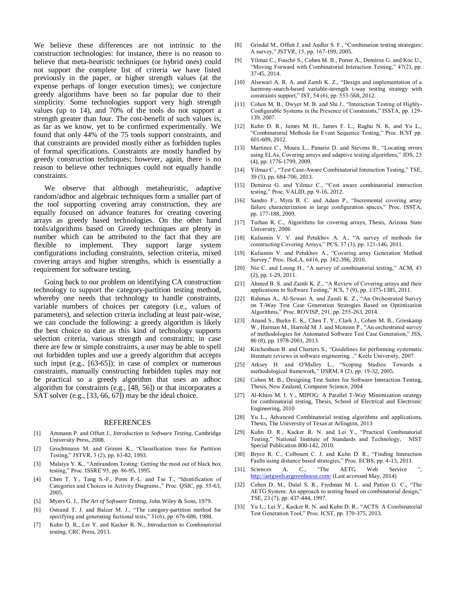We believe these differences are not intrinsic to the construction technologies: for instance, there is no reason to believe that meta-heuristic techniques (or hybrid ones) could not support the complete list of criteria we have listed previously in the paper, or higher strength values (at the expense perhaps of longer execution times); we conjecture greedy algorithms have been so far popular due to their simplicity. Some technologies support very high strength values (up to 14), and 70% of the tools do not support a strength greater than four. The cost-benefit of such values is, as far as we know, yet to be confirmed experimentally. We found that only 44% of the 75 tools support constraints, and that constraints are provided mostly either as forbidden tuples of formal specifications. Constraints are mostly handled by greedy construction techniques; however, again, there is no reason to believe other techniques could not equally handle constraints.

We observe that although metaheuristic, adaptive random/adhoc and algebraic techniques form a smaller part of the tool supporting covering array construction, they are equally focused on advance features for creating covering arrays as greedy based technologies. On the other hand tools/algorithms based on Greedy techniques are plenty in number which can be attributed to the fact that they are flexible to implement. They support large system configurations including constraints, selection criteria, mixed covering arrays and higher strengths, which is essentially a requirement for software testing.

Going back to our problem on identifying CA construction technology to support the category-partition testing method, whereby one needs that technology to handle constraints, variable numbers of choices per category (i.e., values of parameters), and selection criteria including at least pair-wise, we can conclude the following: a greedy algorithm is likely the best choice to date as this kind of technology supports selection criteria, various strength and constraints; in case there are few or simple constraints, a user may be able to spell out forbidden tuples and use a greedy algorithm that accepts such input (e.g., [63-65]); in case of complex or numerous constraints, manually constructing forbidden tuples may not be practical so a greedy algorithm that uses an adhoc algorithm for constraints (e.g., [48, 56]) or that incorporates a SAT solver (e.g., [33, 66, 67]) may be the ideal choice.

#### REFERENCES

- [1] Ammann P. and Offutt J., *Introduction to Software Testing*, Cambridge University Press, 2008.
- [2] Grochtmann M. and Grimm K., "Classification trees for Partition Testing," JSTVR, 3 (2), pp. 63-82, 1993.
- [3] Malaiya Y. K., "Antirandom Testing: Getting the most out of black box testing," Proc. ISSRE'95, pp. 86-95, 1995.
- [4] Chen T. Y., Tang S.-F., Poon P.-L. and Tse T., "Identification of Categories and Choices in Activity Diagrams.," Proc. QSIC, pp. 55-63, 2005.
- [5] Myers G. J., *The Art of Software Testing*, John Wiley & Sons, 1979.
- [6] Ostrand T. J. and Balcer M. J., "The category-partition method for specifying and generating fuctional tests," 31(6), pp. 676-686, 1988.
- [7] Kuhn D. R., Lei Y. and Kacker R. N., *Introduction to Combinatorial testing*, CRC Press, 2013.
- Grindal M., Offutt J. and Andler S. F., "Combination testing strategies: A survey," JSTVR, 15, pp. 167-199, 2005.
- [9] Yilmaz C., Fouché S., Cohen M. B., Porter A., Demiroz G. and Koc U., "Moving Forward with Combinatorial Interaction Testing," 47(2), pp. 37-45, 2014.
- [10] Alsewari A. R. A. and Zamli K. Z., "Design and implementation of a harmony-search-based variable-strength t-way testing strategy with constraints support," IST, 54 (6), pp. 553-568, 2012.
- [11] Cohen M. B., Dwyer M. B. and Shi J., "Interaction Testing of Highly-Configurable Systems in the Presence of Constraints," ISSTA, pp. 129- 139, 2007.
- [12] Kuhn D. R., James M. H., James F. L., Raghu N. K. and Yu L., "Combinatorial Methods for Event Sequence Testing," Proc. ICST pp. 601-609, 2012.
- [13] Martinez C., Moura L., Panario D. and Stevens B., "Locating errors using ELAs, Covering arrays and adaptive testing algorithms," JDS, 23 (4), pp. 1776-1799, 2009.
- [14] Yilmaz C., "Test Case-Aware Combinatorial Interaction Testing," TSE, 39 (5), pp. 684-706, 2013.
- [15] Demiroz G. and Yilmaz C., "Cost aware combinatorial interaction testing," Proc. VALID, pp. 9-16, 2012.
- [16] Sandro F., Myra B. C. and Adam P., "Incremental covering array failure characterization in large configuration spaces," Proc. ISSTA, pp. 177-188, 2009.
- [17] Turban R. C., Algorithms for covering arrays, Thesis, Arizona State University, 2006
- [18] Kuliamin V. V. and Petukhov A. A., "A survey of methods for constructing Covering Arrays," PCS, 37 (3), pp. 121-146, 2011.
- [19] Kuliamin V. and Petukhov A., "Covering array Generation Method Survey," Proc. ISoLA, 6416, pp. 382-396, 2010.
- [20] Nie C. and Leung H., "A survey of combinatorial testing," ACM, 43 (2), pp. 1-29, 2011.
- [21] Ahmed B. S. and Zamli K. Z., "A Review of Covering arrays and their applications to Software Testing," JCS, 7 (9), pp. 1375-1385, 2011.
- [22] Rahman A., Al-Sewari A. and Zamli K. Z., "An Orchestrated Survey on T-Way Test Case Generation Strategies Based on Optimization Algorithms," Proc. ROVISP, 291, pp. 255-263, 2014.
- [23] Anand S., Burke E. K., Chen T. Y., Clark J., Cohen M. B., Grieskamp W., Harman M., Harrold M. J. and Mcminn P., "An orchestrated survey of methodologies for Automated Software Test Case Generation," JSS, 86 (8), pp. 1978-2001, 2013.
- [24] Kitchenham B. and Charters S., "Guidelines for performing systematic literature reviews in software engineering. ," Keele University, 2007.
- [25] Arksey H. and O'Malley L., "Scoping Studies: Towards a methodological framework," IJSRM, 8 (2), pp. 19-32, 2005.
- [26] Cohen M. B., Designing Test Suites for Software Interaction Testing, Thesis, New Zealand, Computer Science, 2004
- [27] Al-Khiro M. I. Y., MIPOG: A Parallel T-Way Minimization strategy for combinatorial testing, Thesis, School of Electrical and Electronic Engineering, 2010
- [28] Yu L., Advanced Combinatorial testing algorithms and applications, Thesis, The University of Texas at Arlington, 2013
- [29] Kuhn D. R., Kacker R. N. and Lei Y., "Practical Combinatorial Testing," National Institute of Standards and Technology, NIST Special Publication 800-142, 2010.
- [30] Bryce R. C., Colbourn C. J. and Kuhn D. R., "Finding Interaction Faults using distance based strategies," Proc. ECBS, pp. 4-13, 2011.
- [31] Sciences A. C., "The AETG Web Service <http://aetgweb.argreenhouse.com/> (Last accessed May, 2014)
- [32] Cohen D. M., Dalal S. R., Fredman M. L. and Patton G. C., "The AETG System: An approach to testing based on combinatorial design," TSE, 23 (7), pp. 437-444, 1997.
- [33] Yu L., Lei Y., Kacker R. N. and Kuhn D. R., "ACTS: A Combinatorial Test Generation Tool," Proc. ICST, pp. 370-375, 2013.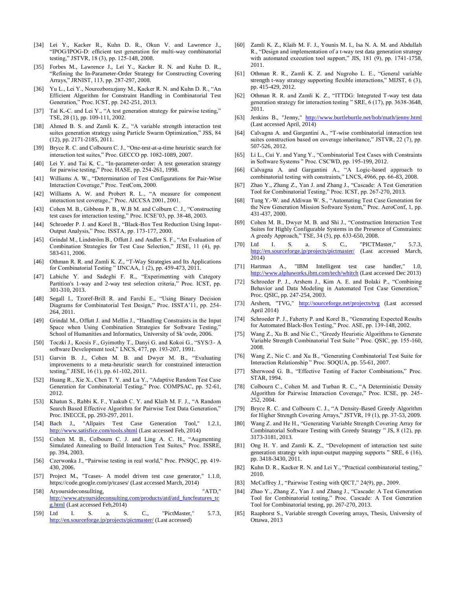- [34] Lei Y., Kacker R., Kuhn D. R., Okun V. and Lawrence J., "IPOG/IPOG-D: efficient test generation for multi-way combinatorial testing," JSTVR, 18 (3), pp. 125-148, 2008.
- [35] Forbes M., Lawrence J., Lei Y., Kacker R. N. and Kuhn D. R., "Refining the In-Parameter-Order Strategy for Constructing Covering Arrays," JRNIST, 113, pp. 287-297, 2008.
- [36] Yu L., Lei Y., Nourozborazjany M., Kacker R. N. and Kuhn D. R., "An Efficient Algorithm for Constraint Handling in Combinatorial Test Generation," Proc. ICST, pp. 242-251, 2013.
- [37] Tai K.-C. and Lei Y., "A test generation strategy for pairwise testing," TSE, 28 (1), pp. 109-111, 2002.
- [38] Ahmed B. S. and Zamli K. Z., "A variable strength interaction test suites generation strategy using Particle Swarm Optimization," JSS, 84 (12), pp. 2171-2185, 2011.
- [39] Bryce R. C. and Colbourn C. J., "One-test-at-a-time heuristic search for interaction test suites," Proc. GECCO pp. 1082-1089, 2007.
- [40] Lei Y. and Tai K. C., "In-parameter-order: A test generation strategy for pairwise testing," Proc. HASE, pp. 254-261, 1998.
- [41] Williams A. W., "Determination of Test Configurations for Pair-Wise Interaction Coverage," Proc. TestCom, 2000.
- [42] Williams A. W. and Probert R. L., "A measure for component interaction test coverage.," Proc. AICCSA 2001, 2001.
- [43] Cohen M. B., Gibbons P. B., W.B M. and Colburn C. J., "Constructing test cases for interaction testing," Proc. ICSE'03, pp. 38-48, 2003.
- [44] Schroeder P. J. and Korel B., "Black-Box Test Reduction Using Input-Output Analysis," Proc. ISSTA, pp. 173-177, 2000.
- [45] Grindal M., Lindström B., Offutt J. and Andler S. F., "An Evaluation of Combination Strategies for Test Case Selection," JESE, 11 (4), pp. 583-611, 2006.
- [46] Othman R. R. and Zamli K. Z., "T-Way Strategies and Its Applications for Combinatorial Testing " IJNCAA, 1 (2), pp. 459-473, 2011.
- [47] Labiche Y. and Sadeghi F. R., "Experimenting with Category Partition's 1-way and 2-way test selection criteria," Proc. ICST, pp. 301-310, 2013.
- [48] Segall I., Tzoref-Brill R. and Farchi E., "Using Binary Decision Diagrams for Combinatorial Test Design," Proc. ISSTA'11, pp. 254- 264, 2011.
- [49] Grindal M., Offutt J. and Mellin J., "Handling Constraints in the Input Space when Using Combination Strategies for Software Testing," School of Humanities and Informatics, University of Sk¨ovde, 2006.
- [50] Toczki J., Kocsis F., Gyimothy T., Danyi G. and Kokoi G., "SYS/3- A software Development tool," LNCS, 477, pp. 193-207, 1991.
- [51] Garvin B. J., Cohen M. B. and Dwyer M. B., "Evaluating improvements to a meta-heuristic search for constrained interaction testing," JESE, 16 (1), pp. 61-102, 2011.
- [52] Huang R., Xie X., Chen T. Y. and Lu Y., "Adaptive Random Test Case Generation for Combinatorial Testing," Proc. COMPSAC, pp. 52-61, 2012.
- [53] Khatun S., Rabbi K. F., Yaakub C. Y. and Klaib M. F. J., "A Random Search Based Effective Algorithm for Pairwise Test Data Generation," Proc. INECCE, pp. 293-297, 2011.
- [54] Bach J., "Allpairs Test Case Generation Tool," 1.2.1, <http://www.satisfice.com/tools.shtml> (Last accessed Feb, 2014)
- [55] Cohen M. B., Colbourn C. J. and Ling A. C. H., "Augmenting Simulated Annealing to Build Interaction Test Suites," Proc. ISSRE, pp. 394, 2003.
- [56] Czerwonka J., "Pairwise testing in real world," Proc. PNSQC, pp. 419- 430, 2006.
- [57] Project M., "Tcases- A model driven test case generator," 1.1.0, https://code.google.com/p/tcases/ (Last accessed March, 2014)
- [58] Atyoursideconsullting, "ATD," [http://www.atyoursideconsulting.com/products/atd/atd\\_funcfeatures\\_tc](http://www.atyoursideconsulting.com/products/atd/atd_funcfeatures_tcg.html) [g.html](http://www.atyoursideconsulting.com/products/atd/atd_funcfeatures_tcg.html) (Last accessed Feb,2014)
- [59] Ltd I. S. a. S. C., "PictMaster," 5.7.3, <http://en.sourceforge.jp/projects/pictmaster/> (Last accessed)
- [60] Zamli K. Z., Klaib M. F. J., Younis M. I., Isa N. A. M. and Abdullah R., "Design and implementation of a t-way test data generation strategy with automated execution tool support," JIS, 181 (9), pp. 1741-1758, 2011.
- [61] Othman R. R., Zamli K. Z. and Nugroho L. E., "General variable strength t-way strategy supporting flexible interactions," MIJST, 6 (3), pp. 415-429, 2012.
- [62] Othman R. R. and Zamli K. Z., "ITTDG: Integrated T-way test data generation strategy for interaction testing " SRE, 6 (17), pp. 3638-3648, 2011.
- [63] Jenkins B., "Jenny," <http://www.burtleburtle.net/bob/math/jenny.html> (Last accessed April, 2014)
- [64] Calvagna A. and Gargantini A., "T-wise combinatorial interaction test suites construction based on coverage inheritance," JSTVR, 22 (7), pp. 507-526, 2012.
- [65] Li L., Cui Y. and Yang Y., "Combinatorial Test Cases with Constraints in Software Systems " Proc. CSCWD, pp. 195-199, 2012.
- [66] Calvagna A. and Gargantini A., "A Logic-based approach to combinatorial testing with constraints," LNCS, 4966, pp. 66-83, 2008.
- [67] Zhao Y., Zhang Z., Yan J. and Zhang J., "Cascade: A Test Generation Tool for Combinatorial Testing," Proc. ICST, pp. 267-270, 2013.
- [68] Tung Y.-W. and Aldiwan W. S., "Automating Test Case Generation for the New Generation Mission Software System," Proc. AeroConf, 1, pp. 431-437, 2000.
- [69] Cohen M. B., Dwyer M. B. and Shi J., "Construction Interaction Test Suites for Highly Configurable Systems in the Presence of Constraints: A greedy Approach," TSE, 34 (5), pp. 633-650, 2008.
- [70] Ltd I. S. a. S. C., "PICTMaster," 5.7.3, <http://en.sourceforge.jp/projects/pictmaster/> (Last accessed March, 2014)
- [71] Hartman A., "IBM Intelligent test case handler," 1.0, <http://www.alphaworks.ibm.com/tech/whitch> (Last accessed Dec 2013)
- [72] Schroeder P. J., Arshem J., Kim A. E. and Bolaki P., "Combining Behavior and Data Modeling in Automated Test Case Generation," Proc. QSIC, pp. 247-254, 2003.
- [73] Arshem, "TVG," <http://sourceforge.net/projects/tvg> (Last accessed April 2014)
- [74] Schroeder P. J., Faherty P. and Korel B., "Generating Expected Results for Automated Black-Box Testing," Proc. ASE, pp. 139-148, 2002.
- [75] Wang Z., Xu B. and Nie C., "Greedy Heuristic Algorithms to Generate Variable Strength Combinatorial Test Suite " Proc. QSIC, pp. 155-160, 2008.
- [76] Wang Z., Nie C. and Xu B., "Generating Combinatorial Test Suite for Interaction Relationship " Proc. SOQUA, pp. 55-61, 2007.
- [77] Sherwood G. B., "Effective Testing of Factor Combinations," Proc. STAR, 1994.
- [78] Colbourn C., Cohen M. and Turban R. C., "A Deterministic Density Algorithm for Pairwise Interaction Coverage," Proc. ICSE, pp. 245- 252, 2004.
- [79] Bryce R. C. and Colbourn C. J., "A Density-Based Greedy Algorithm for Higher Strength Covering Arrays," JSTVR, 19 (1), pp. 37-53, 2009.
- [80] Wang Z. and He H., "Generating Variable Strength Covering Array for Combinatorial Software Testing with Greedy Strategy " JS, 8 (12), pp. 3173-3181, 2013.
- [81] Ong H. Y. and Zamli K. Z., "Development of interaction test suite generation strategy with input-output mapping supports " SRE, 6 (16), pp. 3418-3430, 2011.
- [82] Kuhn D. R., Kacker R. N. and Lei Y., "Practical combinatorial testing," 2010.
- [83] McCaffrey J., "Pairwise Testing with QICT," 24(9), pp., 2009.
- [84] Zhao Y., Zhang Z., Yan J. and Zhang J., "Cascade: A Test Generation Tool for Combinatorial testing," Proc. Cascade: A Test Generation Tool for Combinatorial testing, pp. 267-270, 2013.
- [85] Raaphorst S., Variable strength Covering arrays, Thesis, University of Ottawa, 2013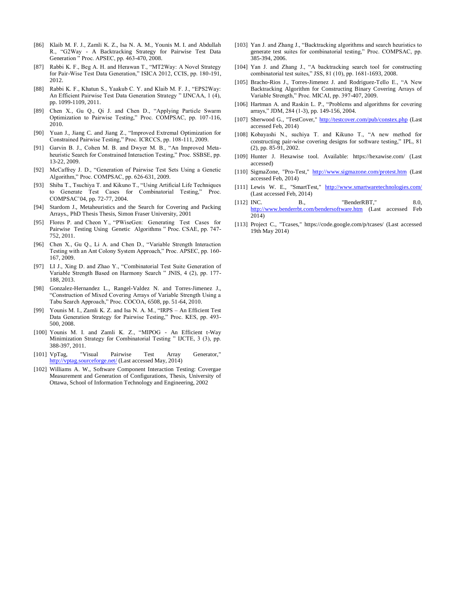- [86] Klaib M. F. J., Zamli K. Z., Isa N. A. M., Younis M. I. and Abdullah R., "G2Way - A Backtracking Strategy for Pairwise Test Data Generation " Proc. APSEC, pp. 463-470, 2008.
- [87] Rabbi K. F., Beg A. H. and Herawan T., "MT2Way: A Novel Strategy for Pair-Wise Test Data Generation," ISICA 2012, CCIS, pp. 180-191, 2012.
- [88] Rabbi K. F., Khatun S., Yaakub C. Y. and Klaib M. F. J., "EPS2Way: An Efficient Pairwise Test Data Generation Strategy " IJNCAA, 1 (4), pp. 1099-1109, 2011.
- [89] Chen X., Gu Q., Qi J. and Chen D., "Applying Particle Swarm Optimization to Pairwise Testing," Proc. COMPSAC, pp. 107-116, 2010.
- [90] Yuan J., Jiang C. and Jiang Z., "Improved Extremal Optimization for Constrained Pairwise Testing," Proc. ICRCCS, pp. 108-111, 2009.
- [91] Garvin B. J., Cohen M. B. and Dwyer M. B., "An Improved Metaheuristic Search for Constrained Interaction Testing," Proc. SSBSE, pp. 13-22, 2009.
- [92] McCaffrey J. D., "Generation of Pairwise Test Sets Using a Genetic Algorithm," Proc. COMPSAC, pp. 626-631, 2009.
- [93] Shiba T., Tsuchiya T. and Kikuno T., "Using Artificial Life Techniques to Generate Test Cases for Combinatorial Testing," Proc. COMPSAC'04, pp. 72-77, 2004.
- [94] Stardom J., Metaheuristics and the Search for Covering and Packing Arrays., PhD Thesis Thesis, Simon Fraser University, 2001
- [95] Flores P. and Cheon Y., "PWiseGen: Generating Test Cases for Pairwise Testing Using Genetic Algorithms " Proc. CSAE, pp. 747- 752, 2011.
- [96] Chen X., Gu Q., Li A. and Chen D., "Variable Strength Interaction Testing with an Ant Colony System Approach," Proc. APSEC, pp. 160- 167, 2009.
- [97] LI J., Xing D. and Zhao Y., "Combinatorial Test Suite Generation of Variable Strength Based on Harmony Search " JNIS, 4 (2), pp. 177- 188, 2013.
- [98] Gonzalez-Hernandez L., Rangel-Valdez N. and Torres-Jimenez J., "Construction of Mixed Covering Arrays of Variable Strength Using a Tabu Search Approach," Proc. COCOA, 6508, pp. 51-64, 2010.
- [99] Younis M. I., Zamli K. Z. and Isa N. A. M., "IRPS An Efficient Test Data Generation Strategy for Pairwise Testing," Proc. KES, pp. 493- 500, 2008.
- [100] Younis M. I. and Zamli K. Z., "MIPOG An Efficient t-Way Minimization Strategy for Combinatorial Testing " IJCTE, 3 (3), pp. 388-397, 2011.
- [101] VpTag, "Visual Pairwise Test Array Generator," <http://vptag.sourceforge.net/> (Last accessed May, 2014)
- [102] Williams A. W., Software Component Interaction Testing: Covergae Measurement and Generation of Configurations, Thesis, University of Ottawa, School of Information Technology and Engineering, 2002
- [103] Yan J. and Zhang J., "Backtracking algorithms and search heuristics to generate test suites for combinatorial testing," Proc. COMPSAC, pp. 385-394, 2006.
- [104] Yan J. and Zhang J., "A backtracking search tool for constructing combinatorial test suites," JSS, 81 (10), pp. 1681-1693, 2008.
- [105] Bracho-Rios J., Torres-Jimenez J. and Rodriguez-Tello E., "A New Backtracking Algorithm for Constructing Binary Covering Arrays of Variable Strength," Proc. MICAI, pp. 397-407, 2009.
- [106] Hartman A. and Raskin L. P., "Problems and algorithms for covering arrays," JDM, 284 (1-3), pp. 149-156, 2004.
- [107] Sherwood G., "TestCover,"<http://testcover.com/pub/constex.php> (Last accessed Feb, 2014)
- [108] Kobayashi N., suchiya T. and Kikuno T., "A new method for constructing pair-wise covering designs for software testing," IPL, 81 (2), pp. 85-91, 2002.
- [109] Hunter J. Hexawise tool. Available: https://hexawise.com/ (Last accessed)
- [110] SigmaZone, "Pro-Test,"<http://www.sigmazone.com/protest.htm> (Last accessed Feb, 2014)
- [111] Lewis W. E., "SmartTest," <http://www.smartwaretechnologies.com/> (Last accessed Feb, 2014)
- [112] INC. B., "BenderRBT," 8.0, <http://www.benderrbt.com/bendersoftware.htm> (Last accessed Feb 2014)
- [113] Project C., "Tcases," https://code.google.com/p/tcases/ (Last accessed 19th May 2014)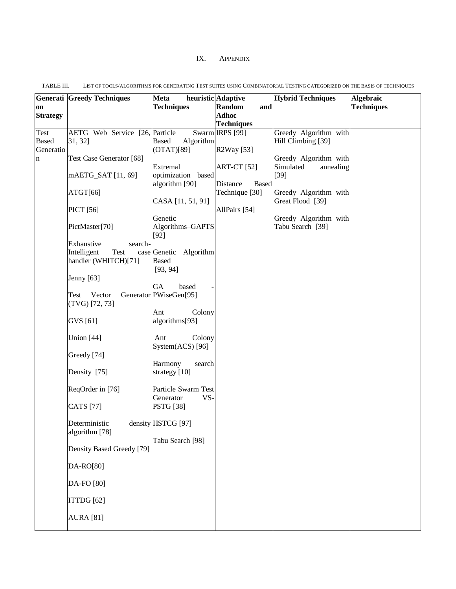## IX. APPENDIX

|                 | <b>Generati Greedy Techniques</b> | Meta                            | heuristic Adaptive       | <b>Hybrid Techniques</b> | Algebraic         |
|-----------------|-----------------------------------|---------------------------------|--------------------------|--------------------------|-------------------|
| on              |                                   | <b>Techniques</b>               | Random<br>and            |                          | <b>Techniques</b> |
| <b>Strategy</b> |                                   |                                 | <b>Adhoc</b>             |                          |                   |
|                 |                                   |                                 | <b>Techniques</b>        |                          |                   |
| Test            | AETG Web Service [26, Particle    |                                 | Swarm IRPS [99]          | Greedy Algorithm with    |                   |
| <b>Based</b>    | 31, 32]                           | <b>Based</b><br>Algorithm       |                          | Hill Climbing [39]       |                   |
| Generatio       | Test Case Generator [68]          | (OTAT)[89]                      | R2Way [53]               | Greedy Algorithm with    |                   |
| $\mathbf n$     |                                   | Extremal                        | <b>ART-CT</b> [52]       | Simulated<br>annealing   |                   |
|                 | mAETG_SAT [11, 69]                | optimization based              |                          | $[39]$                   |                   |
|                 |                                   | algorithm [90]                  | Distance<br><b>Based</b> |                          |                   |
|                 | ATGT[66]                          |                                 | Technique [30]           | Greedy Algorithm with    |                   |
|                 |                                   | CASA [11, 51, 91]               |                          | Great Flood [39]         |                   |
|                 | <b>PICT</b> [56]                  |                                 | AllPairs [54]            |                          |                   |
|                 |                                   | Genetic                         |                          | Greedy Algorithm with    |                   |
|                 | PictMaster[70]                    | Algorithms-GAPTS                |                          | Tabu Search [39]         |                   |
|                 | Exhaustive<br>search-             | $[92]$                          |                          |                          |                   |
|                 | Intelligent<br>Test               | case Genetic Algorithm          |                          |                          |                   |
|                 | handler (WHITCH)[71]              | <b>Based</b>                    |                          |                          |                   |
|                 |                                   | [93, 94]                        |                          |                          |                   |
|                 | <b>Jenny</b> [63]                 |                                 |                          |                          |                   |
|                 |                                   | GA<br>based                     |                          |                          |                   |
|                 | Vector<br>Test                    | Generator PWiseGen[95]          |                          |                          |                   |
|                 | $(TVG)$ [72, 73]                  |                                 |                          |                          |                   |
|                 | GVS [61]                          | Colony<br>Ant<br>algorithms[93] |                          |                          |                   |
|                 |                                   |                                 |                          |                          |                   |
|                 | Union [44]                        | Colony<br>Ant                   |                          |                          |                   |
|                 |                                   | System(ACS) [96]                |                          |                          |                   |
|                 | Greedy [74]                       |                                 |                          |                          |                   |
|                 |                                   | Harmony<br>search               |                          |                          |                   |
|                 | Density [75]                      | strategy [10]                   |                          |                          |                   |
|                 | ReqOrder in [76]                  | Particle Swarm Test             |                          |                          |                   |
|                 |                                   | Generator<br>VS-                |                          |                          |                   |
|                 | <b>CATS</b> [77]                  | <b>PSTG</b> [38]                |                          |                          |                   |
|                 |                                   |                                 |                          |                          |                   |
|                 | Deterministic                     | density HSTCG [97]              |                          |                          |                   |
|                 | algorithm [78]                    |                                 |                          |                          |                   |
|                 |                                   | Tabu Search [98]                |                          |                          |                   |
|                 | Density Based Greedy [79]         |                                 |                          |                          |                   |
|                 | DA-RO[80]                         |                                 |                          |                          |                   |
|                 |                                   |                                 |                          |                          |                   |
|                 | DA-FO [80]                        |                                 |                          |                          |                   |
|                 |                                   |                                 |                          |                          |                   |
|                 | ITTDG [62]                        |                                 |                          |                          |                   |
|                 |                                   |                                 |                          |                          |                   |
|                 | <b>AURA</b> [81]                  |                                 |                          |                          |                   |
|                 |                                   |                                 |                          |                          |                   |

<span id="page-12-1"></span><span id="page-12-0"></span>TABLE III. LIST OF TOOLS/ALGORITHMS FOR GENERATING TEST SUITES USING COMBINATORIAL TESTING CATEGORIZED ON THE BASIS OF TECHNIQUES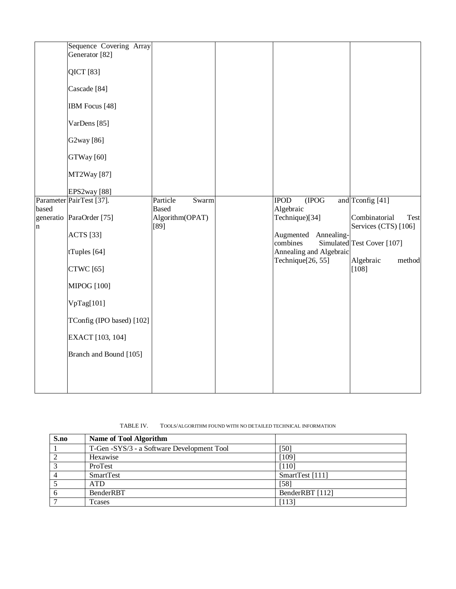| Parameter PairTest [37].<br>based<br>generatio ParaOrder [75]<br>$\mathbf n$<br>Branch and Bound [105] | Generator <sup>[82]</sup><br>QICT [83]<br>Cascade <sup>[84]</sup><br>IBM Focus [48]<br>VarDens [85]<br>G2way [86]<br>GTWay [60]<br>MT2Way <sup>[87]</sup><br>EPS2way <sup>[88]</sup><br><b>ACTS</b> [33]<br>tTuples [64]<br><b>CTWC</b> [65]<br><b>MIPOG</b> [100]<br>VpTag[101]<br>TConfig (IPO based) [102]<br>EXACT [103, 104] | Particle<br>Swarm<br><b>Based</b><br>Algorithm(OPAT)<br>[89] |  | <b>IPOD</b><br>(IPOG<br>Algebraic<br>Technique)[34]<br>Augmented<br>Annealing-<br>combines<br>Annealing and Algebraic<br>Technique <sup>[26, 55]</sup> | and Tconfig [41]<br>Combinatorial<br>Test<br>Services (CTS) [106]<br>Simulated Test Cover [107]<br>Algebraic<br>method<br>$[108]$ |
|--------------------------------------------------------------------------------------------------------|-----------------------------------------------------------------------------------------------------------------------------------------------------------------------------------------------------------------------------------------------------------------------------------------------------------------------------------|--------------------------------------------------------------|--|--------------------------------------------------------------------------------------------------------------------------------------------------------|-----------------------------------------------------------------------------------------------------------------------------------|
|--------------------------------------------------------------------------------------------------------|-----------------------------------------------------------------------------------------------------------------------------------------------------------------------------------------------------------------------------------------------------------------------------------------------------------------------------------|--------------------------------------------------------------|--|--------------------------------------------------------------------------------------------------------------------------------------------------------|-----------------------------------------------------------------------------------------------------------------------------------|

TABLE IV. TOOLS/ALGORITHM FOUND WITH NO DETAILED TECHNICAL INFORMATION

<span id="page-13-0"></span>

| S.no | <b>Name of Tool Algorithm</b>              |                 |
|------|--------------------------------------------|-----------------|
|      | T-Gen -SYS/3 - a Software Development Tool | [50]            |
|      | Hexawise                                   | [109]           |
|      | ProTest                                    | $[110]$         |
|      | SmartTest                                  | SmartTest [111] |
|      | <b>ATD</b>                                 | [58]            |
|      | <b>BenderRBT</b>                           | BenderRBT [112] |
|      | Tcases                                     | [113]           |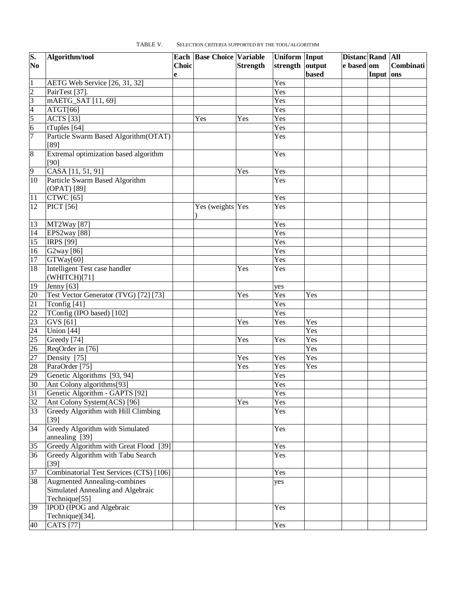<span id="page-14-0"></span>

| S.             | Algorithm/tool                                |       | <b>Each Base Choice Variable</b> |                 | Uniform Input   |              | Distanc Rand All |           |           |
|----------------|-----------------------------------------------|-------|----------------------------------|-----------------|-----------------|--------------|------------------|-----------|-----------|
| N <sub>0</sub> |                                               | Choic |                                  | <b>Strength</b> | strength output |              | e based om       |           | Combinati |
|                |                                               | e     |                                  |                 |                 | <b>based</b> |                  | Input ons |           |
| $\mathbf{1}$   | AETG Web Service [26, 31, 32]                 |       |                                  |                 | Yes             |              |                  |           |           |
| $\overline{2}$ | PairTest [37].                                |       |                                  |                 | Yes             |              |                  |           |           |
| $\overline{3}$ | mAETG_SAT [11, 69]                            |       |                                  |                 | Yes             |              |                  |           |           |
| $\overline{4}$ | ATGT[66]                                      |       |                                  |                 | Yes             |              |                  |           |           |
| 5              | <b>ACTS</b> [33]                              |       | Yes                              | Yes             | Yes             |              |                  |           |           |
| $\overline{6}$ | tTuples [64]                                  |       |                                  |                 | Yes             |              |                  |           |           |
| 7              | Particle Swarm Based Algorithm (OTAT)<br>[89] |       |                                  |                 | Yes             |              |                  |           |           |
| $\overline{8}$ | Extremal optimization based algorithm<br>[90] |       |                                  |                 | Yes             |              |                  |           |           |
| $\overline{9}$ | CASA [11, 51, 91]                             |       |                                  | Yes             | Yes             |              |                  |           |           |
| 10             | Particle Swarm Based Algorithm                |       |                                  |                 | Yes             |              |                  |           |           |
|                | (OPAT) [89]                                   |       |                                  |                 |                 |              |                  |           |           |
| 11             | <b>CTWC</b> [65]                              |       |                                  |                 | Yes             |              |                  |           |           |
| 12             | <b>PICT</b> [56]                              |       | Yes (weights Yes                 |                 | Yes             |              |                  |           |           |
|                |                                               |       |                                  |                 |                 |              |                  |           |           |
| 13             | MT2Way [87]                                   |       |                                  |                 | Yes             |              |                  |           |           |
| 14             | EPS2way <sup>[88]</sup>                       |       |                                  |                 | Yes             |              |                  |           |           |
| 15             | <b>IRPS [99]</b>                              |       |                                  |                 | Yes             |              |                  |           |           |
| 16             | G2way [86]                                    |       |                                  |                 | Yes             |              |                  |           |           |
| 17             | GTWay[60]                                     |       |                                  |                 | Yes             |              |                  |           |           |
| 18             | <b>Intelligent Test case handler</b>          |       |                                  | Yes             | Yes             |              |                  |           |           |
|                | (WHITCH)[71]                                  |       |                                  |                 |                 |              |                  |           |           |
| 19             | Jenny [63]                                    |       |                                  |                 | yes             |              |                  |           |           |
| 20             | Test Vector Generator (TVG) [72] [73]         |       |                                  | Yes             | Yes             | Yes          |                  |           |           |
| 21             | Tconfig [41]                                  |       |                                  |                 | Yes             |              |                  |           |           |
| 22             | TConfig (IPO based) [102]                     |       |                                  |                 | Yes             |              |                  |           |           |
| 23             | GVS [61]                                      |       |                                  | Yes             | Yes             | Yes          |                  |           |           |
| 24             | Union [44]                                    |       |                                  |                 |                 | Yes          |                  |           |           |
| 25             | Greedy [74]                                   |       |                                  | Yes             | Yes             | Yes          |                  |           |           |
| 26             | ReqOrder in [76]                              |       |                                  |                 |                 | Yes          |                  |           |           |
| 27             | Density [75]                                  |       |                                  | Yes             | Yes             | Yes          |                  |           |           |
| 28             | ParaOrder [75]                                |       |                                  | Yes             | Yes             | Yes          |                  |           |           |
| 29             | Genetic Algorithms [93, 94]                   |       |                                  |                 | Yes             |              |                  |           |           |
| 30             | Ant Colony algorithms[93]                     |       |                                  |                 | Yes             |              |                  |           |           |
| 31             | Genetic Algorithm - GAPTS [92]                |       |                                  |                 | Yes             |              |                  |           |           |
| 32             | Ant Colony System(ACS) [96]                   |       |                                  | Yes             | Yes             |              |                  |           |           |
| 33             | Greedy Algorithm with Hill Climbing           |       |                                  |                 | Yes             |              |                  |           |           |
|                | $[39]$                                        |       |                                  |                 |                 |              |                  |           |           |
| 34             | Greedy Algorithm with Simulated               |       |                                  |                 | Yes             |              |                  |           |           |
|                | annealing [39]                                |       |                                  |                 |                 |              |                  |           |           |
| 35             | Greedy Algorithm with Great Flood [39]        |       |                                  |                 | Yes             |              |                  |           |           |
| 36             | Greedy Algorithm with Tabu Search             |       |                                  |                 | Yes             |              |                  |           |           |
|                | $[39]$                                        |       |                                  |                 |                 |              |                  |           |           |
| 37             | Combinatorial Test Services (CTS) [106]       |       |                                  |                 | Yes             |              |                  |           |           |
| 38             | <b>Augmented Annealing-combines</b>           |       |                                  |                 | yes             |              |                  |           |           |
|                | Simulated Annealing and Algebraic             |       |                                  |                 |                 |              |                  |           |           |
|                | Technique[55]                                 |       |                                  |                 |                 |              |                  |           |           |
| 39             | <b>IPOD</b> (IPOG and Algebraic               |       |                                  |                 | Yes             |              |                  |           |           |
|                | Technique)[34].                               |       |                                  |                 |                 |              |                  |           |           |
| 40             | <b>CATS</b> [77]                              |       |                                  |                 | Yes             |              |                  |           |           |

TABLE V. SELECTION CRITERIA SUPPORTED BY THE TOOL/ALGORITHM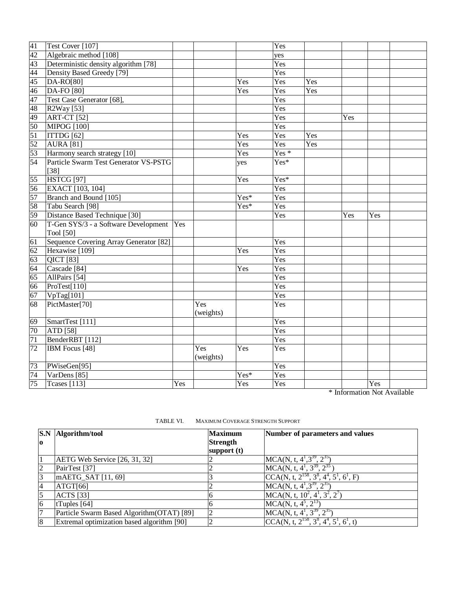\* Information Not Available

<span id="page-15-0"></span>

| lo             | S.N Algorithm/tool                         | <b>Maximum</b><br><b>Strength</b><br>support $(t)$ | Number of parameters and values                          |
|----------------|--------------------------------------------|----------------------------------------------------|----------------------------------------------------------|
|                | <b>AETG Web Service</b> [26, 31, 32]       |                                                    | $MCA(N, t, 41, 339, 235)$                                |
| $\overline{c}$ | PairTest [37]                              |                                                    | $MCA(N, t, 4^1, 3^{39}, 2^{35})$                         |
| 3              | mAETG_SAT [11, 69]                         |                                                    | $CCA(N, t, 2^{158}, 3^8, 4^4, 5^1, 6^1, F)$              |
| 4              | ATGT[66]                                   |                                                    | $MCA(N, t, 41, 339, 235)$                                |
| 5              | <b>ACTS</b> [33]                           |                                                    | $MCA(N, t, 10^2, 4^1, 3^2, 2^7)$                         |
| $\overline{6}$ | tTuples $[64]$                             |                                                    | $MCA(N, t, 4^5, 2^{13})$                                 |
| 7              | Particle Swarm Based Algorithm (OTAT) [89] |                                                    | MCA(N, t, $4^1$ , $3^{39}$ , $2^{35}$                    |
| 8              | Extremal optimization based algorithm [90] |                                                    | CCA(N, t, $2^{158}$ , $3^8$ , $4^4$ , $5^1$ , $6^1$ , t) |

TABLE VI. MAXIMUM COVERAGE STRENGTH SUPPORT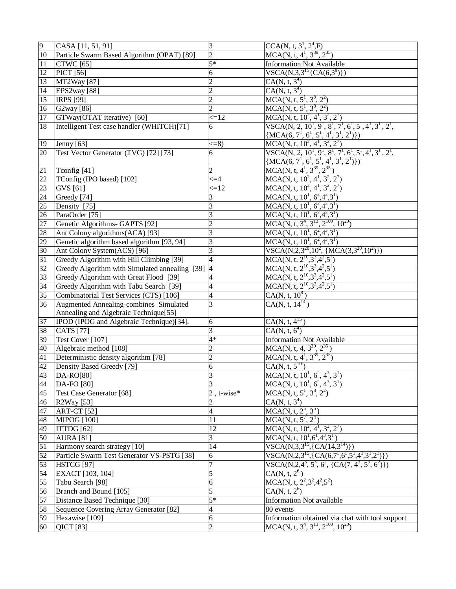| $\overline{9}$ | CASA [11, 51, 91]                              | 3                        | $CCA(N, t, 31, 24, F)$                                                                                                             |
|----------------|------------------------------------------------|--------------------------|------------------------------------------------------------------------------------------------------------------------------------|
| 10             | Particle Swarm Based Algorithm (OPAT) [89]     | $\overline{2}$           | MCA(N, t, $4^1$ , $3^{39}$ , $2^{35}$ )                                                                                            |
| $11\,$         | <b>CTWC</b> [65]                               | $5*$                     | <b>Information Not Available</b>                                                                                                   |
| 12             | <b>PICT</b> [56]                               | 6                        | $VSCA(N,3,3^{15}\{CA(6,3^{9})\})$                                                                                                  |
| 13             | MT2Way <sup>[87]</sup>                         | $\overline{2}$           | $CA(N, t, 3^4)$                                                                                                                    |
|                |                                                |                          |                                                                                                                                    |
| 14             | EPS2way <sup>[88]</sup>                        | $\overline{2}$           | $CA(N, t, 3^4)$                                                                                                                    |
| 15             | <b>IRPS</b> [99]                               | $\overline{c}$           | $MCA(N, t, 5^1, 3^8, 2^2)$                                                                                                         |
| 16             | G2way [86]                                     | $\overline{c}$           | $MCA(N, t, 5^1, 3^8, 2^2)$                                                                                                         |
| 17             | GTWay(OTAT iterative) [60]                     | $\leq 12$                | MCA(N, t, $10^2$ , $4^1$ , $3^2$ , $2^7$ )                                                                                         |
| 18             | Intelligent Test case handler (WHITCH)[71]     | 6                        | VSCA(N, 2, $10^1$ , $9^1$ , $8^1$ , $7^1$ , $6^1$ , $5^1$ , $4^1$ , $3^1$ , $2^1$ ,<br>$\{MCA(6, 7^1, 6^1, 5^1, 4^1, 3^1, 2^1)\}\$ |
| 19             | Jenny $[63]$                                   | $\leq$ =8)               | MCA(N, t, $10^2$ , $4^1$ , $3^2$ , $2^7$ )                                                                                         |
| 20             | Test Vector Generator (TVG) [72] [73]          | 6                        | VSCA(N, 2, $10^1$ , $9^1$ , $8^1$ , $7^1$ , $6^1$ , $5^1$ , $4^1$ , $3^1$ , $2^1$ ,                                                |
|                |                                                |                          | $\frac{\{MCA(6, 7^1, 6^1, 5^1, 4^1, 3^1, 2^1)\})}{MCA(N, t, 4^1, 3^{39}, 2^{35})}$                                                 |
| 21             | Tconfig [41]                                   | $\overline{c}$           |                                                                                                                                    |
| 22             | TConfig (IPO based) [102]                      | $\leq = 4$               | MCA(N, t, $10^2$ , $4^1$ , $3^2$ , $2^7$ )                                                                                         |
| 23             | GVS [61]                                       | $\leq 12$                | MCA(N, t, $10^2$ , $4^1$ , $3^2$ , $2^7$ )                                                                                         |
| 24             | Greedy <sup>[74]</sup>                         | 3                        | $MCA(N, t, 10^1, 6^2, 4^3, 3^1)$                                                                                                   |
| 25             | Density [75]                                   | 3                        | $MCA(N, t, 10^1, 6^2, 4^3, 3^1)$                                                                                                   |
| 26             | ParaOrder [75]                                 | 3                        | MCA(N, t, $10^1$ , $6^2$ , $4^3$ , $3^1$ )                                                                                         |
| 27             | Genetic Algorithms- GAPTS [92]                 | $\overline{c}$           | $\overline{\text{MCA}(N, t, 3^4, 3^{13}, 2^{100}, 10^{20})}$                                                                       |
| 28             | Ant Colony algorithms(ACA) [93]                | 3                        | MCA(N, t, $10^1$ , $6^2$ , $4^3$ , $3^1$ )                                                                                         |
|                | Genetic algorithm based algorithm [93, 94]     |                          |                                                                                                                                    |
| 29             |                                                | 3                        | $MCA(N, t, 10^1, 6^2, 4^3, 3^1)$                                                                                                   |
| 30             | Ant Colony System(ACS) [96]                    | 3                        | VSCA(N,2,3 <sup>20</sup> ,10 <sup>2</sup> , {MCA(3,3 <sup>20</sup> ,10 <sup>2</sup> )})                                            |
| 31             | Greedy Algorithm with Hill Climbing [39]       | 4                        |                                                                                                                                    |
| 32             | Greedy Algorithm with Simulated annealing [39] | $\overline{\mathcal{L}}$ | MCA(N, t, $2^{10}, 3^3, 4^2, 5^1$ )<br>MCA(N, t, $2^{10}, 3^3, 4^2, 5^1$ )<br>MCA(N, t, $2^{10}, 3^3, 4^2, 5^1$ )                  |
| 33             | Greedy Algorithm with Great Flood [39]         | 4                        |                                                                                                                                    |
| 34             | Greedy Algorithm with Tabu Search [39]         | 4                        | $MCA(N, t, 2^{10}, 3^3, 4^2, 5^1)$                                                                                                 |
| 35             | Combinatorial Test Services (CTS) [106]        | 4                        | $CA(N, t, 10^8)$                                                                                                                   |
| 36             | Augmented Annealing-combines Simulated         | 3                        | $CA(N, t, 14^{14})$                                                                                                                |
|                | Annealing and Algebraic Technique[55]          |                          |                                                                                                                                    |
| 37             | IPOD (IPOG and Algebraic Technique)[34].       | 6                        | $CA(N, t, 4^{15})$                                                                                                                 |
| 38             | <b>CATS</b> [77]                               | 3                        | CA(N, t, 6 <sup>4</sup> )                                                                                                          |
| 39             | Test Cover [107]                               | $4*$                     | <b>Information Not Available</b>                                                                                                   |
| 40             | Algebraic method [108]                         | $\overline{c}$           | $MCA(N, t, 4, 3^{39}, 2^{35})$                                                                                                     |
| 41             | Deterministic density algorithm [78]           | $\overline{c}$           | MCA(N, t, $4^1$ , $3^{39}$ , $2^{35}$ )                                                                                            |
| 42             | Density Based Greedy [79]                      | 6                        | $CA(N, t, 5^{10})$                                                                                                                 |
| 43             | $DA-RO[80]$                                    | 3                        | $MCA(N, t, 10^1, 6^2, 4^3, 3^1)$                                                                                                   |
| 44             | DA-FO [80]                                     | 3                        | MCA(N, t, $10^1$ , $6^2$ , $4^3$ , $3^1$ )                                                                                         |
| 45             | Test Case Generator [68]                       | $2$ , t-wise*            | MCA(N, t, $5^7$ , $3^8$ , $2^2$ )                                                                                                  |
|                |                                                | $\overline{c}$           | $CA(N, t, 3^4)$                                                                                                                    |
| 46             | R2Way [53]                                     | 4                        |                                                                                                                                    |
| 47             | <b>ART-CT</b> [52]                             |                          | $MCA(N, t, 2^5, 3^5)$                                                                                                              |
| 48             | <b>MIPOG</b> [100]                             | 11                       | $MCA(N, t, 5^7, 2^4)$                                                                                                              |
| 49             | ITTDG [62]                                     | 12                       | MCA(N, t, $10^2$ , $4^1$ , $3^2$ , $2^7$ )                                                                                         |
| 50             | <b>AURA</b> [81]                               | 3                        | $MCA(N, t, 10^1, 6^1, 4^3, 3^1)$                                                                                                   |
| 51             | Harmony search strategy [10]                   | 14                       | VSCA(N, 3, 3 <sup>15</sup> , {CA(14, 3 <sup>14</sup> )})                                                                           |
| 52             | Particle Swarm Test Generator VS-PSTG [38]     | 6                        | VSCA(N, $2,3^{15},$ {CA(6,7 <sup>1</sup> ,6 <sup>1</sup> ,5 <sup>1</sup> ,4 <sup>1</sup> ,3 <sup>1</sup> ,2 <sup>1</sup> )})       |
| 53             | <b>HSTCG</b> [97]                              | 7                        | VSCA(N,2,4 <sup>3</sup> , 5 <sup>3</sup> , 6 <sup>2</sup> , {CA(7, 4 <sup>3</sup> , 5 <sup>3</sup> , 6 <sup>2</sup> )})            |
| 54             | EXACT [103, 104]                               | 5                        | $CA(N, t, 2^6)$                                                                                                                    |
| 55             | Tabu Search [98]                               | 6                        | MCA(N, t, $2^2$ , $3^2$ , $4^2$ , $5^2$ )                                                                                          |
| 56             | Branch and Bound [105]                         | 5                        | $CA(N, t, 2^6)$                                                                                                                    |
| 57             | Distance Based Technique [30]                  | $5*$                     | Information Not available                                                                                                          |
| 58             | Sequence Covering Array Generator [82]         | 4                        | 80 events                                                                                                                          |
| 59             | Hexawise [109]                                 | 6                        | Information obtained via chat with tool support                                                                                    |
| 60             | <b>QICT</b> [83]                               | $\overline{c}$           | MCA(N, t, $3^4$ , $3^{13}$ , $2^{100}$ , $10^{20}$ )                                                                               |
|                |                                                |                          |                                                                                                                                    |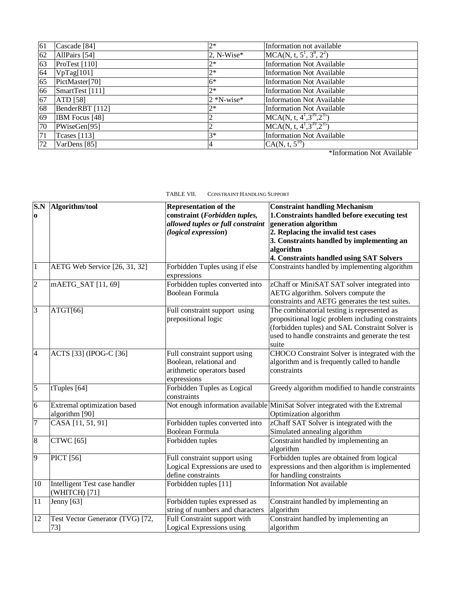| 61 | Cascade [84]        | $2*$           | Information not available        |
|----|---------------------|----------------|----------------------------------|
| 62 | AllPairs [54]       | 2, N-Wise*     | $MCA(N, t, 5^1, 3^8, 2^2)$       |
| 63 | ProTest $[110]$     | $2*$           | <b>Information Not Available</b> |
| 64 | VpTag[101]          | $2*$           | <b>Information Not Available</b> |
| 65 | PictMaster[70]      | $6*$           | <b>Information Not Available</b> |
| 66 | SmartTest [111]     | $2*$           | <b>Information Not Available</b> |
| 67 | ATD [58]            | $2 * N$ -wise* | <b>Information Not Available</b> |
| 68 | BenderRBT [112]     | $2*$           | <b>Information Not Available</b> |
| 69 | IBM Focus [48]      |                | $MCA(N, t, 4^1, 3^{39}, 2^{35})$ |
| 70 | PWiseGen[95]        | 2              | $MCA(N, t, 4^1, 3^{39}, 2^{35})$ |
| 71 | <b>Tcases</b> [113] | $3*$           | <b>Information Not Available</b> |
| 72 | VarDens [85]        | 4              | $CA(N, t, 5^{10})$               |

\*Information Not Available

<span id="page-17-0"></span>

| TABLE VII. |  | <b>CONSTRAINT HANDLING SUPPORT</b> |  |
|------------|--|------------------------------------|--|
|------------|--|------------------------------------|--|

| S.N            | Algorithm/tool                                 | <b>Representation of the</b>                  | <b>Constraint handling Mechanism</b>                                         |
|----------------|------------------------------------------------|-----------------------------------------------|------------------------------------------------------------------------------|
| $\bf{0}$       |                                                | constraint (Forbidden tuples,                 | 1. Constraints handled before executing test                                 |
|                |                                                | allowed tuples or full constraint             | generation algorithm                                                         |
|                |                                                | (logical expression)                          | 2. Replacing the invalid test cases                                          |
|                |                                                |                                               | 3. Constraints handled by implementing an                                    |
|                |                                                |                                               | algorithm                                                                    |
|                |                                                |                                               | 4. Constraints handled using SAT Solvers                                     |
| $\vert$ 1      | AETG Web Service [26, 31, 32]                  | Forbidden Tuples using if else<br>expressions | Constraints handled by implementing algorithm                                |
| $\overline{2}$ | mAETG_SAT [11, 69]                             | Forbidden tuples converted into               | zChaff or MiniSAT SAT solver integrated into                                 |
|                |                                                | <b>Boolean Formula</b>                        | AETG algorithm. Solvers compute the                                          |
|                |                                                |                                               | constraints and AETG generates the test suites.                              |
| $\overline{3}$ | ATGT[66]                                       | Full constraint support using                 | The combinatorial testing is represented as                                  |
|                |                                                | prepositional logic                           | propositional logic problem including constraints                            |
|                |                                                |                                               | (forbidden tuples) and SAL Constraint Solver is                              |
|                |                                                |                                               | used to handle constraints and generate the test                             |
|                |                                                |                                               | suite                                                                        |
| $\overline{4}$ | ACTS [33] (IPOG-C [36]                         | Full constraint support using                 | CHOCO Constraint Solver is integrated with the                               |
|                |                                                | Boolean, relational and                       | algorithm and is frequently called to handle                                 |
|                |                                                | arithmetic operators based                    | constraints                                                                  |
|                |                                                | expressions                                   |                                                                              |
| $\overline{5}$ | tTuples $[64]$                                 | Forbidden Tuples as Logical                   | Greedy algorithm modified to handle constraints                              |
|                |                                                | constraints                                   |                                                                              |
| $\overline{6}$ | Extremal optimization based                    |                                               | Not enough information available MiniSat Solver integrated with the Extremal |
|                | algorithm [90]                                 |                                               | Optimization algorithm                                                       |
| $\tau$         | CASA [11, 51, 91]                              | Forbidden tuples converted into               | zChaff SAT Solver is integrated with the                                     |
|                |                                                | <b>Boolean Formula</b>                        | Simulated annealing algorithm                                                |
| $\overline{8}$ | <b>CTWC</b> [65]                               | Forbidden tuples                              | Constraint handled by implementing an                                        |
|                |                                                |                                               | algorithm                                                                    |
| 9              | <b>PICT</b> [56]                               | Full constraint support using                 | Forbidden tuples are obtained from logical                                   |
|                |                                                | Logical Expressions are used to               | expressions and then algorithm is implemented                                |
|                |                                                | define constraints                            | for handling constraints                                                     |
| 10             | Intelligent Test case handler<br>(WHITCH) [71] | Forbidden tuples [11]                         | <b>Information Not available</b>                                             |
| 11             | Jenny $[63]$                                   | Forbidden tuples expressed as                 | Constraint handled by implementing an                                        |
|                |                                                | string of numbers and characters              | algorithm                                                                    |
| 12             | Test Vector Generator (TVG) [72,               | Full Constraint support with                  | Constraint handled by implementing an                                        |
|                | 73]                                            | Logical Expressions using                     | algorithm                                                                    |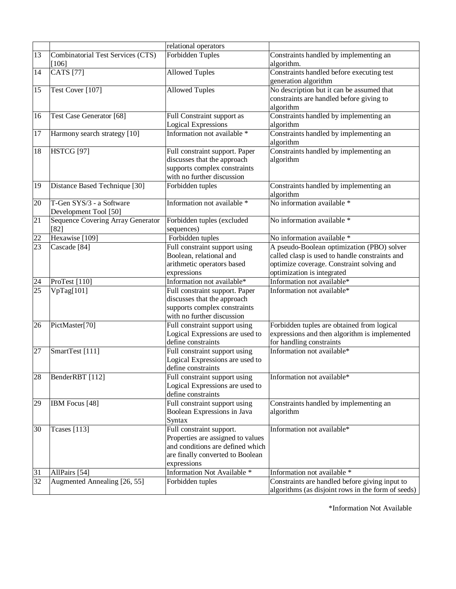|                 |                                   | relational operators                                      |                                                     |
|-----------------|-----------------------------------|-----------------------------------------------------------|-----------------------------------------------------|
| 13              | Combinatorial Test Services (CTS) | Forbidden Tuples                                          | Constraints handled by implementing an              |
|                 | $[106]$                           |                                                           | algorithm.                                          |
| 14              | <b>CATS</b> [77]                  | <b>Allowed Tuples</b>                                     | Constraints handled before executing test           |
|                 |                                   |                                                           | generation algorithm                                |
| 15              | Test Cover [107]                  | <b>Allowed Tuples</b>                                     | No description but it can be assumed that           |
|                 |                                   |                                                           | constraints are handled before giving to            |
|                 |                                   |                                                           | algorithm                                           |
| 16              | Test Case Generator [68]          | Full Constraint support as                                | Constraints handled by implementing an              |
|                 |                                   | <b>Logical Expressions</b><br>Information not available * | algorithm                                           |
| 17              | Harmony search strategy [10]      |                                                           | Constraints handled by implementing an              |
| 18              | <b>HSTCG [97]</b>                 | Full constraint support. Paper                            | algorithm<br>Constraints handled by implementing an |
|                 |                                   | discusses that the approach                               | algorithm                                           |
|                 |                                   | supports complex constraints                              |                                                     |
|                 |                                   | with no further discussion                                |                                                     |
| 19              | Distance Based Technique [30]     | Forbidden tuples                                          | Constraints handled by implementing an              |
|                 |                                   |                                                           | algorithm                                           |
| 20              | T-Gen SYS/3 - a Software          | Information not available *                               | No information available *                          |
|                 | Development Tool [50]             |                                                           |                                                     |
| 21              | Sequence Covering Array Generator | Forbidden tuples (excluded                                | No information available *                          |
|                 | $[82]$                            | sequences)                                                |                                                     |
| 22              | Hexawise [109]                    | Forbidden tuples                                          | No information available *                          |
| $\overline{23}$ | Cascade [84]                      | Full constraint support using                             | A pseudo-Boolean optimization (PBO) solver          |
|                 |                                   | Boolean, relational and                                   | called clasp is used to handle constraints and      |
|                 |                                   | arithmetic operators based                                | optimize coverage. Constraint solving and           |
|                 |                                   | expressions                                               | optimization is integrated                          |
| 24              | ProTest [110]                     | Information not available*                                | Information not available*                          |
| 25              | VpTag[101]                        | Full constraint support. Paper                            | Information not available*                          |
|                 |                                   | discusses that the approach                               |                                                     |
|                 |                                   | supports complex constraints                              |                                                     |
|                 |                                   | with no further discussion                                |                                                     |
| 26              | PictMaster[70]                    | Full constraint support using                             | Forbidden tuples are obtained from logical          |
|                 |                                   | Logical Expressions are used to                           | expressions and then algorithm is implemented       |
|                 |                                   | define constraints                                        | for handling constraints                            |
| $\overline{27}$ | SmartTest [111]                   | Full constraint support using                             | Information not available*                          |
|                 |                                   | Logical Expressions are used to                           |                                                     |
|                 |                                   | define constraints                                        |                                                     |
| 28              | BenderRBT [112]                   | Full constraint support using                             | Information not available*                          |
|                 |                                   | Logical Expressions are used to<br>define constraints     |                                                     |
| 29              | IBM Focus [48]                    | Full constraint support using                             | Constraints handled by implementing an              |
|                 |                                   | Boolean Expressions in Java                               | algorithm                                           |
|                 |                                   | Syntax                                                    |                                                     |
| 30              | <b>Tcases</b> [113]               | Full constraint support.                                  | Information not available*                          |
|                 |                                   | Properties are assigned to values                         |                                                     |
|                 |                                   | and conditions are defined which                          |                                                     |
|                 |                                   | are finally converted to Boolean                          |                                                     |
|                 |                                   | expressions                                               |                                                     |
| 31              | AllPairs [54]                     | Information Not Available *                               | Information not available *                         |
| 32              | Augmented Annealing [26, 55]      | Forbidden tuples                                          | Constraints are handled before giving input to      |
|                 |                                   |                                                           | algorithms (as disjoint rows in the form of seeds)  |

\*Information Not Available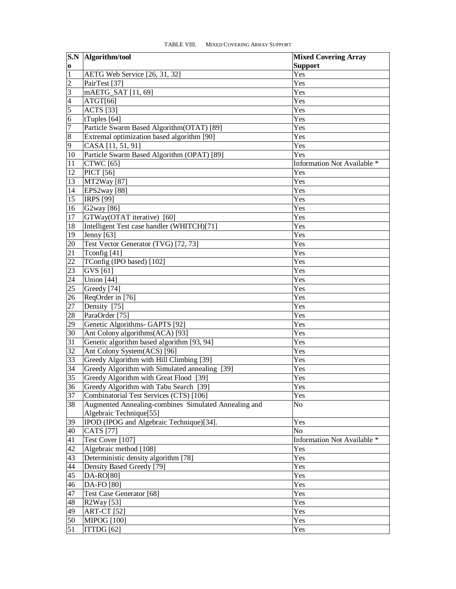<span id="page-19-0"></span>

|                 | <b>S.N</b> Algorithm/tool                            | <b>Mixed Covering Array</b> |
|-----------------|------------------------------------------------------|-----------------------------|
| $\bf{0}$        |                                                      | <b>Support</b>              |
| $\overline{1}$  | AETG Web Service [26, 31, 32]                        | Yes                         |
| $\overline{2}$  | PairTest [37]                                        | Yes                         |
| 3               | mAETG_SAT [11, 69]                                   | Yes                         |
| $\overline{4}$  | ATGT[66]                                             | Yes                         |
| $\overline{5}$  | <b>ACTS</b> [33]                                     | Yes                         |
| 6               | tTuples [64]                                         | Yes                         |
| $\overline{7}$  | Particle Swarm Based Algorithm(OTAT) [89]            | Yes                         |
| $\overline{8}$  | Extremal optimization based algorithm [90]           | Yes                         |
| $\overline{9}$  | CASA [11, 51, 91]                                    | Yes                         |
| 10              | Particle Swarm Based Algorithm (OPAT) [89]           | Yes                         |
| 11              | <b>CTWC</b> [65]                                     | Information Not Available * |
| 12              | <b>PICT</b> [56]                                     | Yes                         |
| 13              | MT2Way [87]                                          | Yes                         |
| 14              | EPS2way [88]                                         | Yes                         |
| 15              | <b>IRPS [99]</b>                                     | Yes                         |
| 16              | G2way [86]                                           | Yes                         |
| 17              | GTWay(OTAT iterative) [60]                           | Yes                         |
| 18              | Intelligent Test case handler (WHITCH)[71]           | Yes                         |
| 19              | <b>Jenny</b> [63]                                    | Yes                         |
| 20              | Test Vector Generator (TVG) [72, 73]                 | Yes                         |
| 21              | Tconfig [41]                                         | Yes                         |
| 22              | TConfig (IPO based) [102]                            | Yes                         |
| 23              | GVS [61]                                             | Yes                         |
| 24              | Union [44]                                           | Yes                         |
| 25              | Greedy [74]                                          | Yes                         |
| 26              | ReqOrder in [76]                                     | Yes                         |
| 27              | Density [75]                                         | Yes                         |
| 28              | ParaOrder [75]                                       | Yes                         |
| 29              | Genetic Algorithms- GAPTS [92]                       | Yes                         |
| 30              | Ant Colony algorithms(ACA) [93]                      | Yes                         |
| 31              | Genetic algorithm based algorithm [93, 94]           | Yes                         |
| 32              | Ant Colony System(ACS) [96]                          | Yes                         |
| 33              | Greedy Algorithm with Hill Climbing [39]             | Yes                         |
| 34              | Greedy Algorithm with Simulated annealing [39]       | Yes                         |
| 35              | Greedy Algorithm with Great Flood [39]               | Yes                         |
| 36              | Greedy Algorithm with Tabu Search [39]               | Yes                         |
| 37              | Combinatorial Test Services (CTS) [106]              | Yes                         |
| 38              | Augmented Annealing-combines Simulated Annealing and | No.                         |
|                 | Algebraic Technique[55]                              |                             |
| 39              | IPOD (IPOG and Algebraic Technique)[34].             | Yes                         |
| 40              | <b>CATS</b> [77]                                     | N <sub>o</sub>              |
| 41              | Test Cover [107]                                     | Information Not Available * |
| 42              | Algebraic method [108]                               | Yes                         |
| 43              | Deterministic density algorithm [78]                 | Yes                         |
| 44              | Density Based Greedy [79]                            | Yes                         |
| 45              | $DA-RO[80]$                                          | Yes                         |
| 46              | DA-FO [80]                                           | Yes                         |
| 47              | Test Case Generator [68]                             | Yes                         |
| 48              | R2Way [53]                                           | Yes                         |
| 49              | <b>ART-CT</b> [52]                                   | Yes                         |
| 50              | <b>MIPOG</b> [100]                                   | Yes                         |
| $\overline{51}$ | ITTDG [62]                                           | Yes                         |